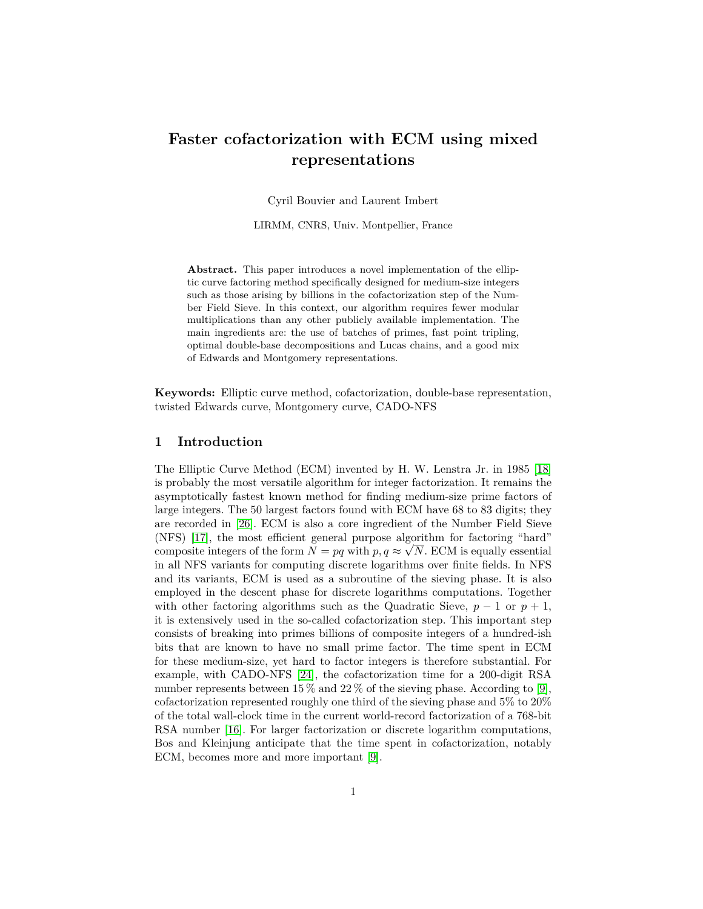# **Faster cofactorization with ECM using mixed representations**

Cyril Bouvier and Laurent Imbert

LIRMM, CNRS, Univ. Montpellier, France

**Abstract.** This paper introduces a novel implementation of the elliptic curve factoring method specifically designed for medium-size integers such as those arising by billions in the cofactorization step of the Number Field Sieve. In this context, our algorithm requires fewer modular multiplications than any other publicly available implementation. The main ingredients are: the use of batches of primes, fast point tripling, optimal double-base decompositions and Lucas chains, and a good mix of Edwards and Montgomery representations.

**Keywords:** Elliptic curve method, cofactorization, double-base representation, twisted Edwards curve, Montgomery curve, CADO-NFS

## **1 Introduction**

The Elliptic Curve Method (ECM) invented by H. W. Lenstra Jr. in 1985 [\[18\]](#page-21-0) is probably the most versatile algorithm for integer factorization. It remains the asymptotically fastest known method for finding medium-size prime factors of large integers. The 50 largest factors found with ECM have 68 to 83 digits; they are recorded in [\[26\]](#page-21-1). ECM is also a core ingredient of the Number Field Sieve (NFS) [\[17\]](#page-21-2), the most efficient general purpose algorithm for factoring "hard" √ composite integers of the form  $N = pq$  with  $p, q \approx \sqrt{N}$ . ECM is equally essential in all NFS variants for computing discrete logarithms over finite fields. In NFS and its variants, ECM is used as a subroutine of the sieving phase. It is also employed in the descent phase for discrete logarithms computations. Together with other factoring algorithms such as the Quadratic Sieve,  $p-1$  or  $p+1$ , it is extensively used in the so-called cofactorization step. This important step consists of breaking into primes billions of composite integers of a hundred-ish bits that are known to have no small prime factor. The time spent in ECM for these medium-size, yet hard to factor integers is therefore substantial. For example, with CADO-NFS [\[24\]](#page-21-3), the cofactorization time for a 200-digit RSA number represents between 15 % and 22 % of the sieving phase. According to [\[9\]](#page-20-0), cofactorization represented roughly one third of the sieving phase and 5% to 20% of the total wall-clock time in the current world-record factorization of a 768-bit RSA number [\[16\]](#page-21-4). For larger factorization or discrete logarithm computations, Bos and Kleinjung anticipate that the time spent in cofactorization, notably ECM, becomes more and more important [\[9\]](#page-20-0).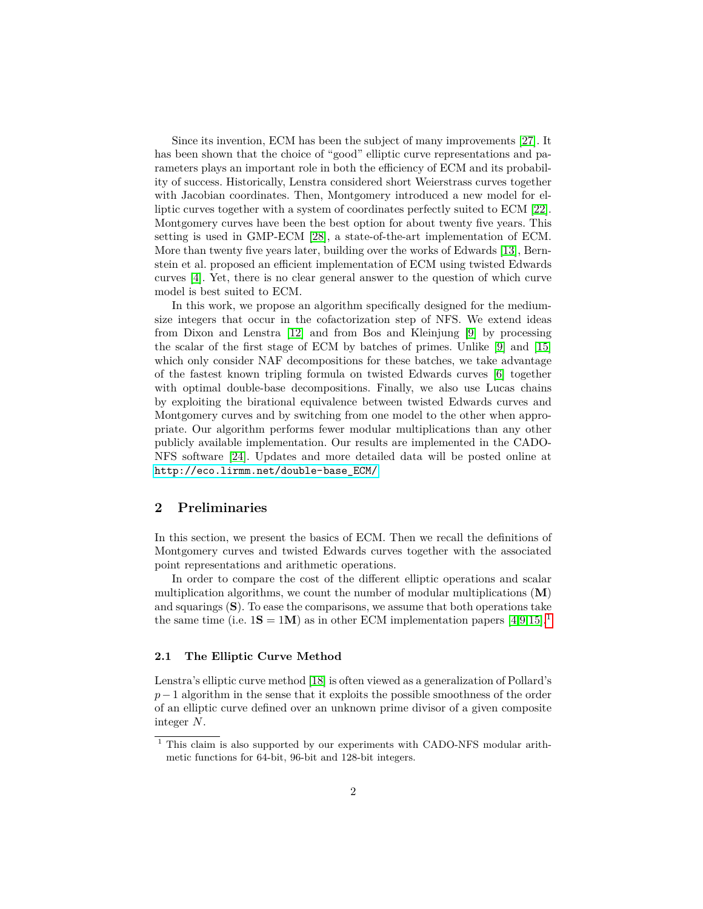Since its invention, ECM has been the subject of many improvements [\[27\]](#page-21-5). It has been shown that the choice of "good" elliptic curve representations and parameters plays an important role in both the efficiency of ECM and its probability of success. Historically, Lenstra considered short Weierstrass curves together with Jacobian coordinates. Then, Montgomery introduced a new model for elliptic curves together with a system of coordinates perfectly suited to ECM [\[22\]](#page-21-6). Montgomery curves have been the best option for about twenty five years. This setting is used in GMP-ECM [\[28\]](#page-21-7), a state-of-the-art implementation of ECM. More than twenty five years later, building over the works of Edwards [\[13\]](#page-20-1), Bernstein et al. proposed an efficient implementation of ECM using twisted Edwards curves [\[4\]](#page-20-2). Yet, there is no clear general answer to the question of which curve model is best suited to ECM.

In this work, we propose an algorithm specifically designed for the mediumsize integers that occur in the cofactorization step of NFS. We extend ideas from Dixon and Lenstra [\[12\]](#page-20-3) and from Bos and Kleinjung [\[9\]](#page-20-0) by processing the scalar of the first stage of ECM by batches of primes. Unlike [\[9\]](#page-20-0) and [\[15\]](#page-20-4) which only consider NAF decompositions for these batches, we take advantage of the fastest known tripling formula on twisted Edwards curves [\[6\]](#page-20-5) together with optimal double-base decompositions. Finally, we also use Lucas chains by exploiting the birational equivalence between twisted Edwards curves and Montgomery curves and by switching from one model to the other when appropriate. Our algorithm performs fewer modular multiplications than any other publicly available implementation. Our results are implemented in the CADO-NFS software [\[24\]](#page-21-3). Updates and more detailed data will be posted online at [http://eco.lirmm.net/double-base\\_ECM/](http://eco.lirmm.net/double-base_ECM/).

## **2 Preliminaries**

In this section, we present the basics of ECM. Then we recall the definitions of Montgomery curves and twisted Edwards curves together with the associated point representations and arithmetic operations.

In order to compare the cost of the different elliptic operations and scalar multiplication algorithms, we count the number of modular multiplications (**M**) and squarings (**S**). To ease the comparisons, we assume that both operations take the same time (i.e.  $1S = 1M$  $1S = 1M$ ) as in other ECM implementation papers [\[4,](#page-20-2)[9,](#page-20-0)[15\]](#page-20-4).<sup>1</sup>

## **2.1 The Elliptic Curve Method**

Lenstra's elliptic curve method [\[18\]](#page-21-0) is often viewed as a generalization of Pollard's *p*−1 algorithm in the sense that it exploits the possible smoothness of the order of an elliptic curve defined over an unknown prime divisor of a given composite integer *N*.

<span id="page-1-0"></span> $1$  This claim is also supported by our experiments with CADO-NFS modular arithmetic functions for 64-bit, 96-bit and 128-bit integers.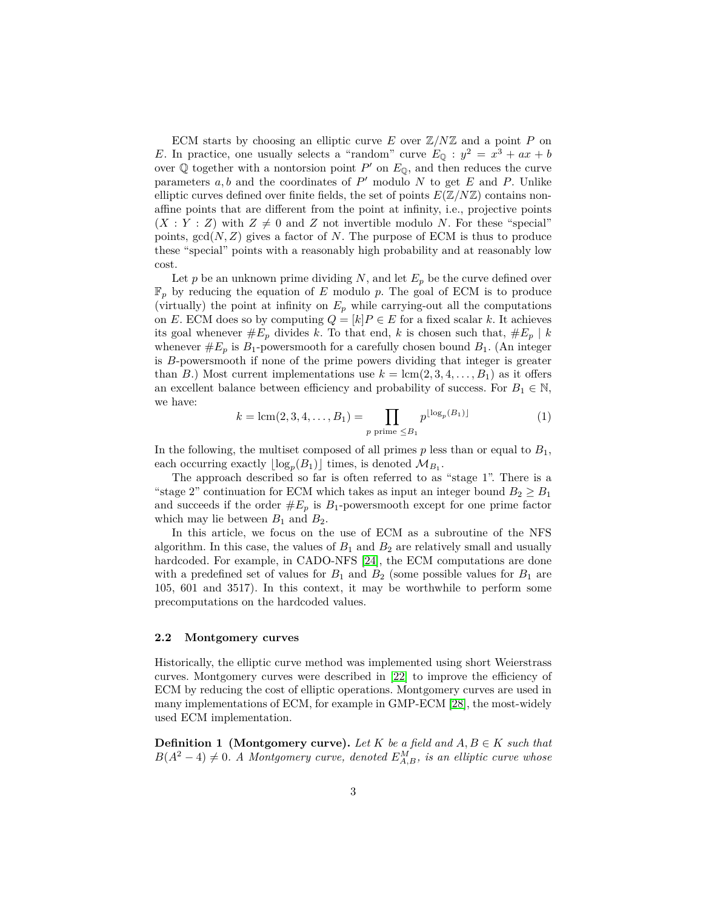ECM starts by choosing an elliptic curve  $E$  over  $\mathbb{Z}/N\mathbb{Z}$  and a point  $P$  on *E*. In practice, one usually selects a "random" curve  $E_{\mathbb{Q}}$ :  $y^2 = x^3 + ax + b$ over  $\mathbb Q$  together with a nontorsion point  $P'$  on  $E_{\mathbb Q}$ , and then reduces the curve parameters  $a, b$  and the coordinates of  $P'$  modulo  $N$  to get  $E$  and  $P$ . Unlike elliptic curves defined over finite fields, the set of points  $E(\mathbb{Z}/N\mathbb{Z})$  contains nonaffine points that are different from the point at infinity, i.e., projective points  $(X:Y:Z)$  with  $Z \neq 0$  and *Z* not invertible modulo *N*. For these "special" points,  $gcd(N, Z)$  gives a factor of N. The purpose of ECM is thus to produce these "special" points with a reasonably high probability and at reasonably low cost.

Let  $p$  be an unknown prime dividing  $N$ , and let  $E_p$  be the curve defined over F*<sup>p</sup>* by reducing the equation of *E* modulo *p*. The goal of ECM is to produce (virtually) the point at infinity on  $E_p$  while carrying-out all the computations on *E*. ECM does so by computing  $Q = [k]P \in E$  for a fixed scalar *k*. It achieves its goal whenever  $#E_p$  divides *k*. To that end, *k* is chosen such that,  $#E_p | k$ whenever  $\#E_p$  is  $B_1$ -powersmooth for a carefully chosen bound  $B_1$ . (An integer is *B*-powersmooth if none of the prime powers dividing that integer is greater than *B*.) Most current implementations use  $k = \text{lcm}(2, 3, 4, \ldots, B_1)$  as it offers an excellent balance between efficiency and probability of success. For  $B_1 \in \mathbb{N}$ , we have:

$$
k = \text{lcm}(2, 3, 4, \dots, B_1) = \prod_{p \text{ prime } \leq B_1} p^{\lfloor \log_p(B_1) \rfloor} \tag{1}
$$

In the following, the multiset composed of all primes *p* less than or equal to *B*1, each occurring exactly  $\lfloor \log_p(B_1) \rfloor$  times, is denoted  $\mathcal{M}_{B_1}$ .

The approach described so far is often referred to as "stage 1". There is a "stage 2" continuation for ECM which takes as input an integer bound  $B_2 \ge B_1$ and succeeds if the order  $#E_p$  is  $B_1$ -powersmooth except for one prime factor which may lie between  $B_1$  and  $B_2$ .

In this article, we focus on the use of ECM as a subroutine of the NFS algorithm. In this case, the values of  $B_1$  and  $B_2$  are relatively small and usually hardcoded. For example, in CADO-NFS [\[24\]](#page-21-3), the ECM computations are done with a predefined set of values for  $B_1$  and  $B_2$  (some possible values for  $B_1$  are 105, 601 and 3517). In this context, it may be worthwhile to perform some precomputations on the hardcoded values.

## <span id="page-2-0"></span>**2.2 Montgomery curves**

Historically, the elliptic curve method was implemented using short Weierstrass curves. Montgomery curves were described in [\[22\]](#page-21-6) to improve the efficiency of ECM by reducing the cost of elliptic operations. Montgomery curves are used in many implementations of ECM, for example in GMP-ECM [\[28\]](#page-21-7), the most-widely used ECM implementation.

**Definition 1 (Montgomery curve).** *Let*  $K$  *be a field and*  $A, B \in K$  *such that*  $B(A^2 - 4) \neq 0$ . A Montgomery curve, denoted  $E_{A,B}^M$ , is an elliptic curve whose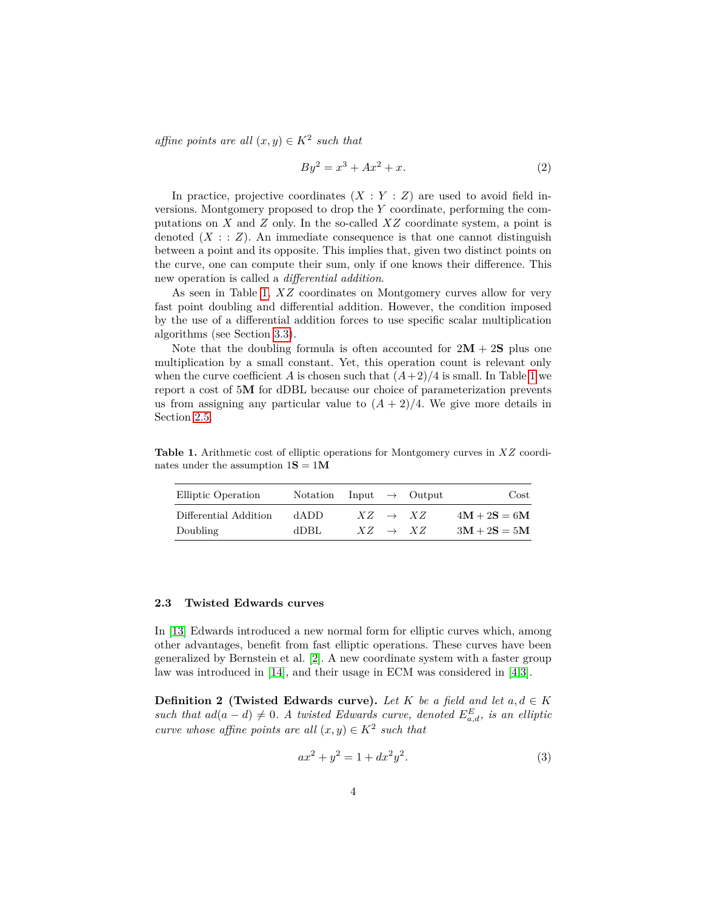*affine points are all*  $(x, y) \in K^2$  *such that* 

$$
By^2 = x^3 + Ax^2 + x.\t\t(2)
$$

In practice, projective coordinates  $(X:Y:Z)$  are used to avoid field inversions. Montgomery proposed to drop the *Y* coordinate, performing the computations on *X* and *Z* only. In the so-called *XZ* coordinate system, a point is denoted  $(X : Z)$ . An immediate consequence is that one cannot distinguish between a point and its opposite. This implies that, given two distinct points on the curve, one can compute their sum, only if one knows their difference. This new operation is called a *differential addition*.

As seen in Table [1,](#page-3-0) *XZ* coordinates on Montgomery curves allow for very fast point doubling and differential addition. However, the condition imposed by the use of a differential addition forces to use specific scalar multiplication algorithms (see Section [3.3\)](#page-11-0).

Note that the doubling formula is often accounted for  $2M + 2S$  plus one multiplication by a small constant. Yet, this operation count is relevant only when the curve coefficient *A* is chosen such that  $(A+2)/4$  is small. In Table [1](#page-3-0) we report a cost of 5**M** for dDBL because our choice of parameterization prevents us from assigning any particular value to  $(A + 2)/4$ . We give more details in Section [2.5.](#page-6-0)

<span id="page-3-0"></span>**Table 1.** Arithmetic cost of elliptic operations for Montgomery curves in *XZ* coordinates under the assumption  $1S = 1M$ 

| Elliptic Operation    | Notation |                     | Input $\rightarrow$ Output | $\cos t$       |
|-----------------------|----------|---------------------|----------------------------|----------------|
| Differential Addition | dADD.    | $XZ \rightarrow XZ$ |                            | $4M + 2S = 6M$ |
| Doubling              | dDBL     | $XZ \rightarrow XZ$ |                            | $3M + 2S = 5M$ |

## **2.3 Twisted Edwards curves**

In [\[13\]](#page-20-1) Edwards introduced a new normal form for elliptic curves which, among other advantages, benefit from fast elliptic operations. These curves have been generalized by Bernstein et al. [\[2\]](#page-20-6). A new coordinate system with a faster group law was introduced in [\[14\]](#page-20-7), and their usage in ECM was considered in [\[4,](#page-20-2)[3\]](#page-20-8).

**Definition 2 (Twisted Edwards curve).** *Let*  $K$  *be a field and let*  $a, d \in K$ *such that*  $ad(a-d) \neq 0$ . A twisted Edwards curve, denoted  $E_{a,d}^E$ *, is an elliptic curve whose affine points are all*  $(x, y) \in K^2$  *such that* 

$$
ax^2 + y^2 = 1 + dx^2y^2.
$$
 (3)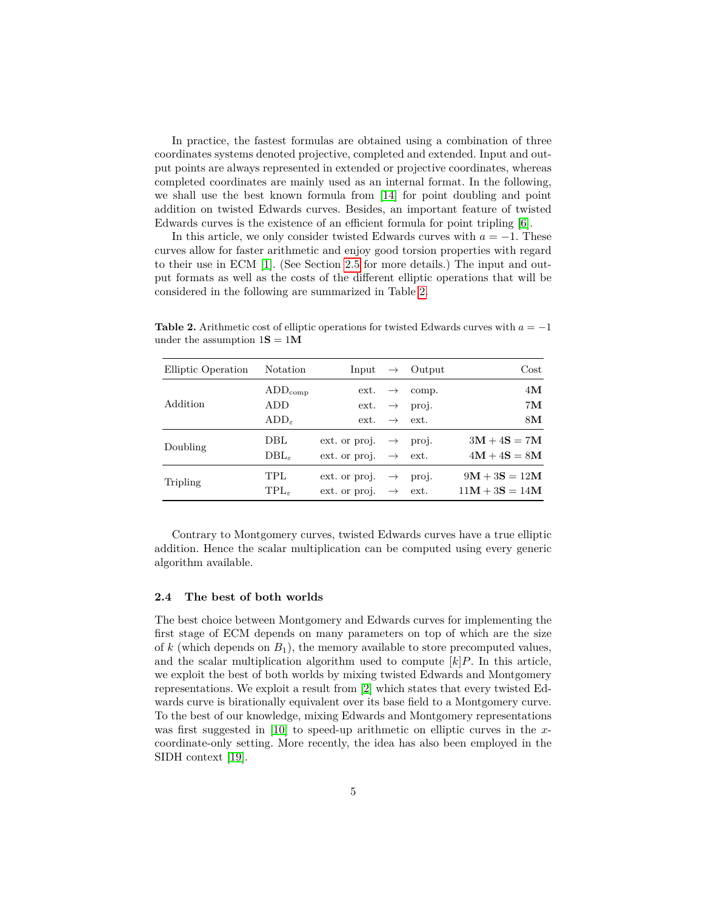In practice, the fastest formulas are obtained using a combination of three coordinates systems denoted projective, completed and extended. Input and output points are always represented in extended or projective coordinates, whereas completed coordinates are mainly used as an internal format. In the following, we shall use the best known formula from [\[14\]](#page-20-7) for point doubling and point addition on twisted Edwards curves. Besides, an important feature of twisted Edwards curves is the existence of an efficient formula for point tripling [\[6\]](#page-20-5).

In this article, we only consider twisted Edwards curves with  $a = -1$ . These curves allow for faster arithmetic and enjoy good torsion properties with regard to their use in ECM [\[1\]](#page-20-9). (See Section [2.5](#page-6-0) for more details.) The input and output formats as well as the costs of the different elliptic operations that will be considered in the following are summarized in Table [2.](#page-4-0)

| Elliptic Operation | Notation            | Input                       | $\rightarrow$ | Output | $\rm Cost$       |
|--------------------|---------------------|-----------------------------|---------------|--------|------------------|
|                    | $ADD_{\rm comp}$    | ext.                        | $\rightarrow$ | comp.  | 4M               |
| Addition           | <b>ADD</b>          | ext.                        | $\rightarrow$ | proj.  | 7 <sub>M</sub>   |
|                    | $ADD_{\varepsilon}$ | $ext. \rightarrow$          |               | ext.   | 8M               |
| Doubling           | DBL.                | ext. or proj. $\rightarrow$ |               | proj.  | $3M + 4S = 7M$   |
|                    | $DBL_{\varepsilon}$ | ext. or proj. $\rightarrow$ |               | ext.   | $4M + 4S = 8M$   |
| Tripling           | TPL.                | ext. or proj. $\rightarrow$ |               | proj.  | $9M + 3S = 12M$  |
|                    | $TPL\epsilon$       | ext. or proj. $\rightarrow$ |               | ext.   | $11M + 3S = 14M$ |

<span id="page-4-0"></span>**Table 2.** Arithmetic cost of elliptic operations for twisted Edwards curves with  $a = -1$ under the assumption  $1S = 1M$ 

Contrary to Montgomery curves, twisted Edwards curves have a true elliptic addition. Hence the scalar multiplication can be computed using every generic algorithm available.

#### **2.4 The best of both worlds**

The best choice between Montgomery and Edwards curves for implementing the first stage of ECM depends on many parameters on top of which are the size of  $k$  (which depends on  $B_1$ ), the memory available to store precomputed values, and the scalar multiplication algorithm used to compute  $[k]P$ . In this article, we exploit the best of both worlds by mixing twisted Edwards and Montgomery representations. We exploit a result from [\[2\]](#page-20-6) which states that every twisted Edwards curve is birationally equivalent over its base field to a Montgomery curve. To the best of our knowledge, mixing Edwards and Montgomery representations was first suggested in [\[10\]](#page-20-10) to speed-up arithmetic on elliptic curves in the *x*coordinate-only setting. More recently, the idea has also been employed in the SIDH context [\[19\]](#page-21-8).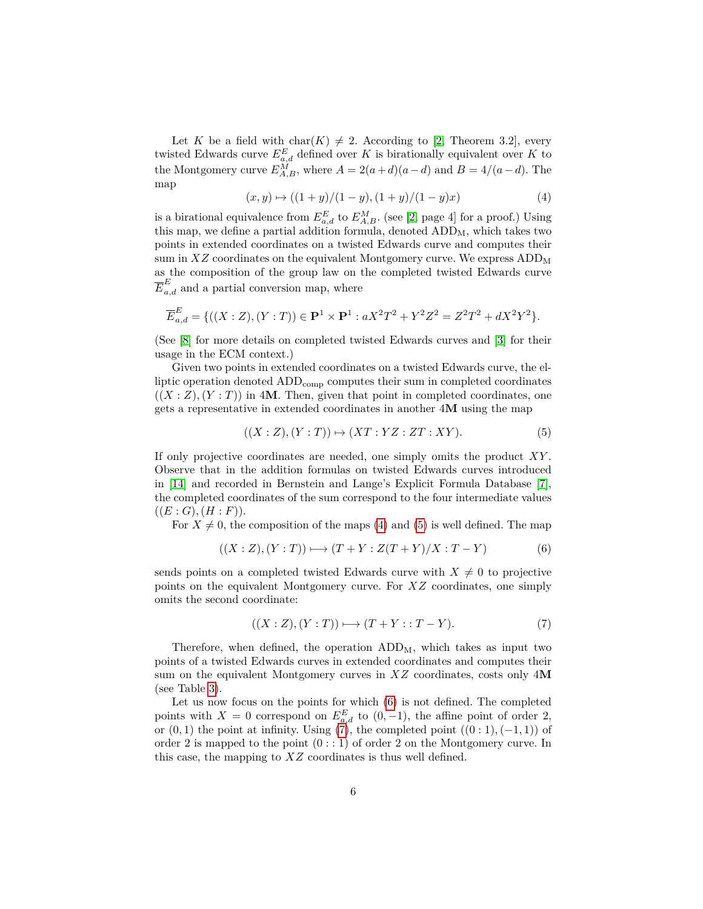Let *K* be a field with char(*K*)  $\neq$  2. According to [\[2,](#page-20-6) Theorem 3.2], every twisted Edwards curve  $E_{a,d}^E$  defined over *K* is birationally equivalent over *K* to the Montgomery curve  $E_{A,B}^M$ , where  $A = 2(a+d)(a-d)$  and  $B = 4/(a-d)$ . The map

<span id="page-5-0"></span>
$$
(x, y) \mapsto ((1 + y)/(1 - y), (1 + y)/(1 - y)x)
$$
 (4)

is a birational equivalence from  $E_{a,d}^E$  to  $E_{A,B}^M$ . (see [\[2,](#page-20-6) page 4] for a proof.) Using this map, we define a partial addition formula, denoted  $ADD<sub>M</sub>$ , which takes two points in extended coordinates on a twisted Edwards curve and computes their sum in  $XZ$  coordinates on the equivalent Montgomery curve. We express  $ADD_M$ as the composition of the group law on the completed twisted Edwards curve  $\overline{E}_{a,d}^E$  and a partial conversion map, where

$$
\overline{E}_{a,d}^{E} = \{((X : Z), (Y : T)) \in \mathbf{P}^{1} \times \mathbf{P}^{1} : aX^{2}T^{2} + Y^{2}Z^{2} = Z^{2}T^{2} + dX^{2}Y^{2}\}.
$$

(See [\[8\]](#page-20-11) for more details on completed twisted Edwards curves and [\[3\]](#page-20-8) for their usage in the ECM context.)

Given two points in extended coordinates on a twisted Edwards curve, the elliptic operation denoted  $ADD_{comp}$  computes their sum in completed coordinates  $((X : Z), (Y : T))$  in 4M. Then, given that point in completed coordinates, one gets a representative in extended coordinates in another 4**M** using the map

<span id="page-5-1"></span>
$$
((X:Z),(Y:T)) \mapsto (XT:YZ:ZT:XY). \tag{5}
$$

If only projective coordinates are needed, one simply omits the product *XY* . Observe that in the addition formulas on twisted Edwards curves introduced in [\[14\]](#page-20-7) and recorded in Bernstein and Lange's Explicit Formula Database [\[7\]](#page-20-12), the completed coordinates of the sum correspond to the four intermediate values  $((E:G),(H:F)).$ 

For  $X \neq 0$ , the composition of the maps [\(4\)](#page-5-0) and [\(5\)](#page-5-1) is well defined. The map

<span id="page-5-2"></span>
$$
((X:Z),(Y:T)) \longmapsto (T+Y:Z(T+Y)/X:T-Y)
$$
 (6)

sends points on a completed twisted Edwards curve with  $X \neq 0$  to projective points on the equivalent Montgomery curve. For *XZ* coordinates, one simply omits the second coordinate:

<span id="page-5-3"></span>
$$
((X:Z),(Y:T)) \longmapsto (T+Y::T-Y). \tag{7}
$$

Therefore, when defined, the operation  $ADD<sub>M</sub>$ , which takes as input two points of a twisted Edwards curves in extended coordinates and computes their sum on the equivalent Montgomery curves in *XZ* coordinates, costs only 4**M** (see Table [3\)](#page-6-1).

Let us now focus on the points for which [\(6\)](#page-5-2) is not defined. The completed points with  $X = 0$  correspond on  $E_{a,d}^E$  to  $(0, -1)$ , the affine point of order 2, or  $(0,1)$  the point at infinity. Using  $(7)$ , the completed point  $((0:1), (-1,1))$  of order 2 is mapped to the point  $(0: : 1)$  of order 2 on the Montgomery curve. In this case, the mapping to *XZ* coordinates is thus well defined.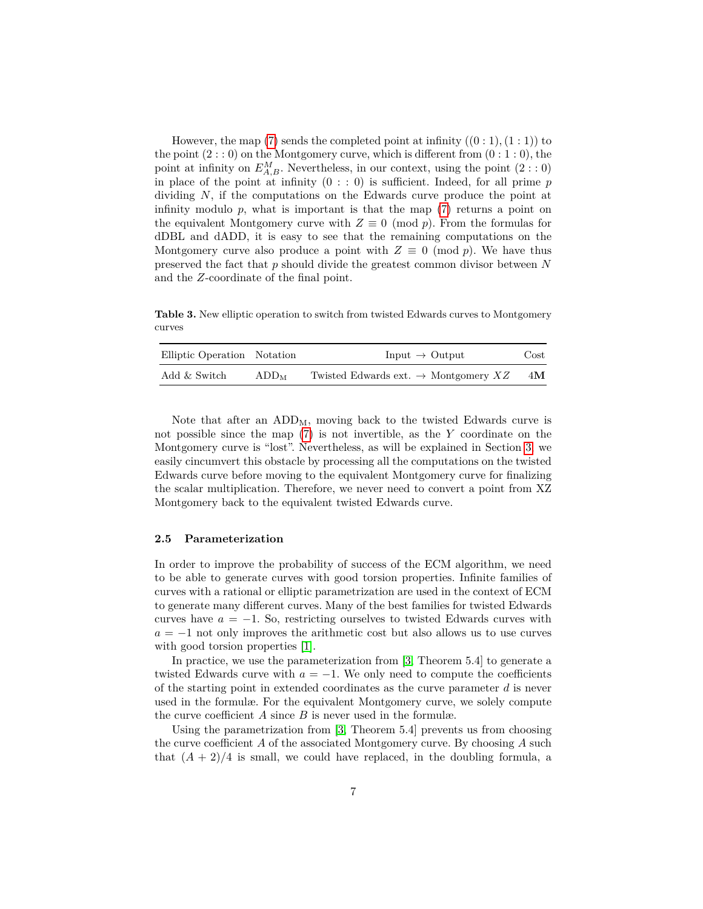However, the map [\(7\)](#page-5-3) sends the completed point at infinity  $((0:1),(1:1))$  to the point  $(2: 0)$  on the Montgomery curve, which is different from  $(0: 1: 0)$ , the point at infinity on  $E_{A,B}^M$ . Nevertheless, in our context, using the point  $(2: : 0)$ in place of the point at infinity  $(0 : : 0)$  is sufficient. Indeed, for all prime  $p$ dividing *N*, if the computations on the Edwards curve produce the point at infinity modulo  $p$ , what is important is that the map  $(7)$  returns a point on the equivalent Montgomery curve with  $Z \equiv 0 \pmod{p}$ . From the formulas for dDBL and dADD, it is easy to see that the remaining computations on the Montgomery curve also produce a point with  $Z \equiv 0 \pmod{p}$ . We have thus preserved the fact that *p* should divide the greatest common divisor between *N* and the *Z*-coordinate of the final point.

<span id="page-6-1"></span>**Table 3.** New elliptic operation to switch from twisted Edwards curves to Montgomery curves

| Elliptic Operation Notation |                  | Input $\rightarrow$ Output                       | Cost |
|-----------------------------|------------------|--------------------------------------------------|------|
| Add & Switch                | ADD <sub>M</sub> | Twisted Edwards ext. $\rightarrow$ Montgomery XZ | 4M   |

Note that after an  $ADD<sub>M</sub>$ , moving back to the twisted Edwards curve is not possible since the map [\(7\)](#page-5-3) is not invertible, as the *Y* coordinate on the Montgomery curve is "lost". Nevertheless, as will be explained in Section [3,](#page-7-0) we easily cincumvert this obstacle by processing all the computations on the twisted Edwards curve before moving to the equivalent Montgomery curve for finalizing the scalar multiplication. Therefore, we never need to convert a point from XZ Montgomery back to the equivalent twisted Edwards curve.

## <span id="page-6-0"></span>**2.5 Parameterization**

In order to improve the probability of success of the ECM algorithm, we need to be able to generate curves with good torsion properties. Infinite families of curves with a rational or elliptic parametrization are used in the context of ECM to generate many different curves. Many of the best families for twisted Edwards curves have  $a = -1$ . So, restricting ourselves to twisted Edwards curves with  $a = -1$  not only improves the arithmetic cost but also allows us to use curves with good torsion properties [\[1\]](#page-20-9).

In practice, we use the parameterization from [\[3,](#page-20-8) Theorem 5.4] to generate a twisted Edwards curve with  $a = -1$ . We only need to compute the coefficients of the starting point in extended coordinates as the curve parameter *d* is never used in the formulæ. For the equivalent Montgomery curve, we solely compute the curve coefficient *A* since *B* is never used in the formulæ.

Using the parametrization from [\[3,](#page-20-8) Theorem 5.4] prevents us from choosing the curve coefficient *A* of the associated Montgomery curve. By choosing *A* such that  $(A + 2)/4$  is small, we could have replaced, in the doubling formula, a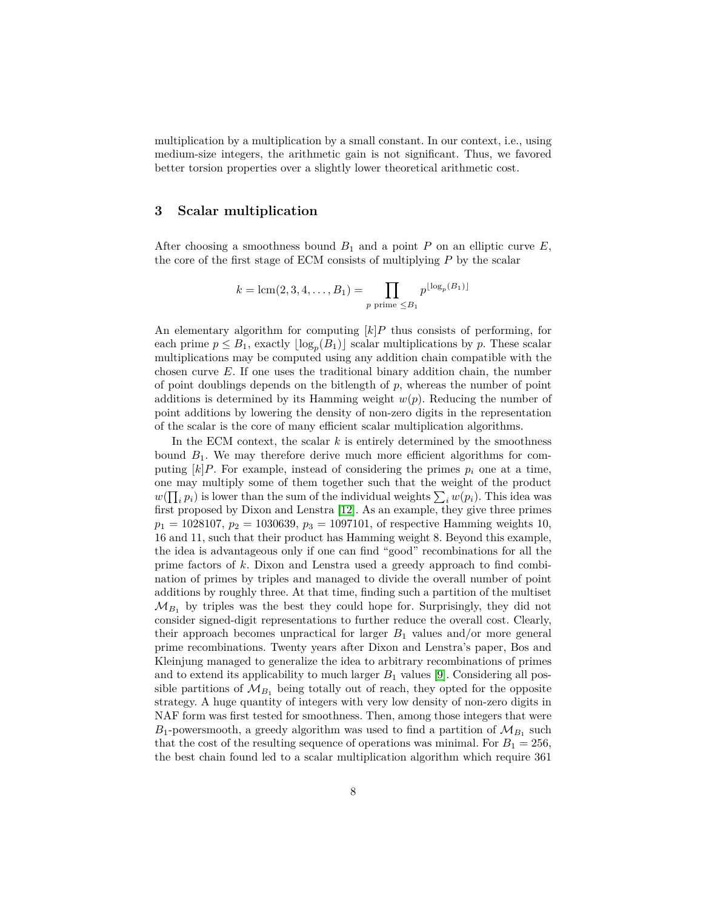multiplication by a multiplication by a small constant. In our context, i.e., using medium-size integers, the arithmetic gain is not significant. Thus, we favored better torsion properties over a slightly lower theoretical arithmetic cost.

## <span id="page-7-0"></span>**3 Scalar multiplication**

After choosing a smoothness bound  $B_1$  and a point  $P$  on an elliptic curve  $E$ , the core of the first stage of ECM consists of multiplying *P* by the scalar

$$
k = \text{lcm}(2, 3, 4, ..., B_1) = \prod_{p \text{ prime } \leq B_1} p^{\lfloor \log_p(B_1) \rfloor}
$$

An elementary algorithm for computing  $[k]P$  thus consists of performing, for each prime  $p \leq B_1$ , exactly  $\lfloor \log_p(B_1) \rfloor$  scalar multiplications by *p*. These scalar multiplications may be computed using any addition chain compatible with the chosen curve *E*. If one uses the traditional binary addition chain, the number of point doublings depends on the bitlength of *p*, whereas the number of point additions is determined by its Hamming weight *w*(*p*). Reducing the number of point additions by lowering the density of non-zero digits in the representation of the scalar is the core of many efficient scalar multiplication algorithms.

In the ECM context, the scalar *k* is entirely determined by the smoothness bound  $B_1$ . We may therefore derive much more efficient algorithms for computing  $[k]P$ . For example, instead of considering the primes  $p_i$  one at a time, one may multiply some of them together such that the weight of the product  $w(\prod_i p_i)$  is lower than the sum of the individual weights  $\sum_i w(p_i)$ . This idea was first proposed by Dixon and Lenstra [\[12\]](#page-20-3). As an example, they give three primes  $p_1 = 1028107, p_2 = 1030639, p_3 = 1097101$ , of respective Hamming weights 10, 16 and 11, such that their product has Hamming weight 8. Beyond this example, the idea is advantageous only if one can find "good" recombinations for all the prime factors of *k*. Dixon and Lenstra used a greedy approach to find combination of primes by triples and managed to divide the overall number of point additions by roughly three. At that time, finding such a partition of the multiset  $\mathcal{M}_{B_1}$  by triples was the best they could hope for. Surprisingly, they did not consider signed-digit representations to further reduce the overall cost. Clearly, their approach becomes unpractical for larger  $B_1$  values and/or more general prime recombinations. Twenty years after Dixon and Lenstra's paper, Bos and Kleinjung managed to generalize the idea to arbitrary recombinations of primes and to extend its applicability to much larger  $B_1$  values [\[9\]](#page-20-0). Considering all possible partitions of  $\mathcal{M}_{B_1}$  being totally out of reach, they opted for the opposite strategy. A huge quantity of integers with very low density of non-zero digits in NAF form was first tested for smoothness. Then, among those integers that were  $B_1$ -powersmooth, a greedy algorithm was used to find a partition of  $\mathcal{M}_{B_1}$  such that the cost of the resulting sequence of operations was minimal. For  $B_1 = 256$ , the best chain found led to a scalar multiplication algorithm which require 361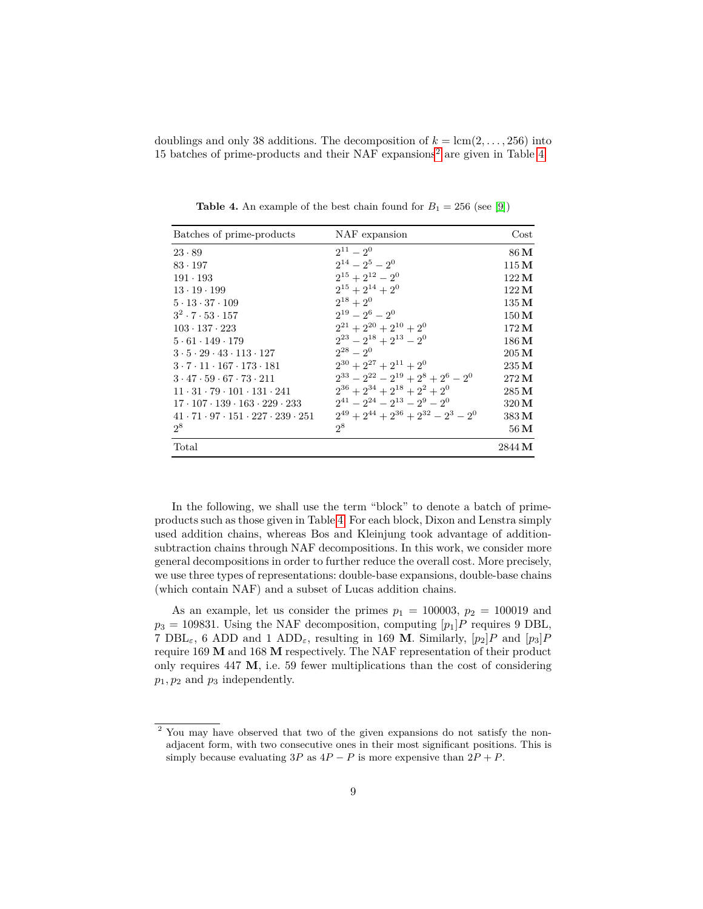doublings and only 38 additions. The decomposition of  $k = \text{lcm}(2, \ldots, 256)$  into 15 batches of prime-products and their NAF expansions[2](#page-8-0) are given in Table [4.](#page-8-1)

<span id="page-8-1"></span>

| Batches of prime-products                                      | NAF expansion                                   | $\cos t$          |
|----------------------------------------------------------------|-------------------------------------------------|-------------------|
| $23 \cdot 89$                                                  | $2^{11} - 2^0$                                  | 86 M              |
| $83 \cdot 197$                                                 | $2^{14} - 2^5 - 2^0$                            | $115\,\mathrm{M}$ |
| $191 \cdot 193$                                                | $2^{15} + 2^{12} - 2^0$                         | $122\,\mathrm{M}$ |
| $13 \cdot 19 \cdot 199$                                        | $2^{15} + 2^{14} + 2^0$                         | $122\,\mathrm{M}$ |
| $5 \cdot 13 \cdot 37 \cdot 109$                                | $2^{18}+2^0$                                    | $135\,\mathrm{M}$ |
| $3^2 \cdot 7 \cdot 53 \cdot 157$                               | $2^{19} - 2^6 - 2^0$                            | $150\,\mathrm{M}$ |
| $103 \cdot 137 \cdot 223$                                      | $2^{21} + 2^{20} + 2^{10} + 2^0$                | 172 M             |
| $5 \cdot 61 \cdot 149 \cdot 179$                               | $2^{23} - 2^{18} + 2^{13} - 2^0$                | $186\,\mathrm{M}$ |
| $3 \cdot 5 \cdot 29 \cdot 43 \cdot 113 \cdot 127$              | $2^{28} - 2^0$                                  | $205\,\mathrm{M}$ |
| $3 \cdot 7 \cdot 11 \cdot 167 \cdot 173 \cdot 181$             | $2^{30} + 2^{27} + 2^{11} + 2^{0}$              | 235 M             |
| $3 \cdot 47 \cdot 59 \cdot 67 \cdot 73 \cdot 211$              | $2^{33} - 2^{22} - 2^{19} + 2^8 + 2^6 - 2^0$    | $272\,\mathrm{M}$ |
| $11 \cdot 31 \cdot 79 \cdot 101 \cdot 131 \cdot 241$           | $2^{36} + 2^{34} + 2^{18} + 2^2 + 2^0$          | 285 M             |
| $17 \cdot 107 \cdot 139 \cdot 163 \cdot 229 \cdot 233$         | $2^{41} - 2^{24} - 2^{13} - 2^9 - 2^0$          | 320 M             |
| $41 \cdot 71 \cdot 97 \cdot 151 \cdot 227 \cdot 239 \cdot 251$ | $2^{49} + 2^{44} + 2^{36} + 2^{32} - 2^3 - 2^0$ | 383 M             |
| $2^8$                                                          | $2^8$                                           | $56\,\rm M$       |
| Total                                                          |                                                 | 2844 M            |

**Table 4.** An example of the best chain found for  $B_1 = 256$  (see [\[9\]](#page-20-0))

In the following, we shall use the term "block" to denote a batch of primeproducts such as those given in Table [4.](#page-8-1) For each block, Dixon and Lenstra simply used addition chains, whereas Bos and Kleinjung took advantage of additionsubtraction chains through NAF decompositions. In this work, we consider more general decompositions in order to further reduce the overall cost. More precisely, we use three types of representations: double-base expansions, double-base chains (which contain NAF) and a subset of Lucas addition chains.

As an example, let us consider the primes  $p_1 = 100003$ ,  $p_2 = 100019$  and  $p_3 = 109831$ . Using the NAF decomposition, computing  $[p_1]P$  requires 9 DBL, 7 DBL<sub>ε</sub>, 6 ADD and 1 ADD<sub>ε</sub>, resulting in 169 M. Similarly,  $[p_2]P$  and  $[p_3]P$ require 169 **M** and 168 **M** respectively. The NAF representation of their product only requires  $447 \text{ M}$ , i.e. 59 fewer multiplications than the cost of considering *p*1*, p*<sup>2</sup> and *p*<sup>3</sup> independently.

<span id="page-8-0"></span><sup>&</sup>lt;sup>2</sup> You may have observed that two of the given expansions do not satisfy the nonadjacent form, with two consecutive ones in their most significant positions. This is simply because evaluating  $3P$  as  $4P - P$  is more expensive than  $2P + P$ .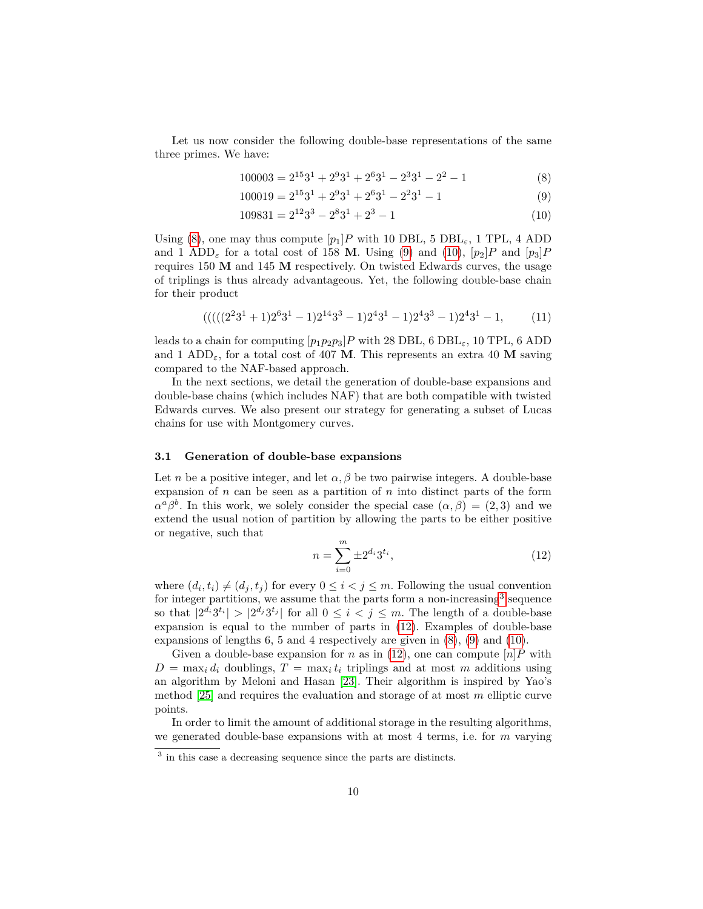Let us now consider the following double-base representations of the same three primes. We have:

<span id="page-9-0"></span>
$$
100003 = 21531 + 2931 + 2631 - 2331 - 22 - 1
$$
 (8)

<span id="page-9-1"></span>
$$
100019 = 21531 + 2931 + 2631 - 2231 - 1
$$
\n(9)

<span id="page-9-2"></span>
$$
109831 = 2^{12}3^3 - 2^83^1 + 2^3 - 1 \tag{10}
$$

Using [\(8\)](#page-9-0), one may thus compute  $[p_1]P$  with 10 DBL, 5 DBL<sub> $\varepsilon$ </sub>, 1 TPL, 4 ADD and 1 ADD<sub> $\varepsilon$ </sub> for a total cost of 158 **M**. Using [\(9\)](#page-9-1) and [\(10\)](#page-9-2),  $[p_2]P$  and  $[p_3]P$ requires 150 **M** and 145 **M** respectively. On twisted Edwards curves, the usage of triplings is thus already advantageous. Yet, the following double-base chain for their product

<span id="page-9-5"></span>
$$
(((((2231+1)2631-1)21433-1)2431-1)2433-1)2431-1,
$$
 (11)

leads to a chain for computing  $[p_1p_2p_3]P$  with 28 DBL, 6 DBL<sub> $\varepsilon$ </sub>, 10 TPL, 6 ADD and 1 ADD<sub> $\epsilon$ </sub>, for a total cost of 407 **M**. This represents an extra 40 **M** saving compared to the NAF-based approach.

In the next sections, we detail the generation of double-base expansions and double-base chains (which includes NAF) that are both compatible with twisted Edwards curves. We also present our strategy for generating a subset of Lucas chains for use with Montgomery curves.

#### **3.1 Generation of double-base expansions**

Let *n* be a positive integer, and let  $\alpha$ ,  $\beta$  be two pairwise integers. A double-base expansion of *n* can be seen as a partition of *n* into distinct parts of the form  $\alpha^a \beta^b$ . In this work, we solely consider the special case  $(\alpha, \beta) = (2, 3)$  and we extend the usual notion of partition by allowing the parts to be either positive or negative, such that

<span id="page-9-4"></span>
$$
n = \sum_{i=0}^{m} \pm 2^{d_i} 3^{t_i},\tag{12}
$$

where  $(d_i, t_i) \neq (d_j, t_j)$  for every  $0 \leq i < j \leq m$ . Following the usual convention for integer partitions, we assume that the parts form a non-increasing<sup>[3](#page-9-3)</sup> sequence so that  $|2^{d_i}3^{t_i}| > |2^{d_j}3^{t_j}|$  for all  $0 \leq i < j \leq m$ . The length of a double-base expansion is equal to the number of parts in [\(12\)](#page-9-4). Examples of double-base expansions of lengths 6, 5 and 4 respectively are given in [\(8\)](#page-9-0), [\(9\)](#page-9-1) and [\(10\)](#page-9-2).

Given a double-base expansion for *n* as in [\(12\)](#page-9-4), one can compute  $[n]P$  with  $D = \max_i d_i$  doublings,  $T = \max_i t_i$  triplings and at most *m* additions using an algorithm by Meloni and Hasan [\[23\]](#page-21-9). Their algorithm is inspired by Yao's method [\[25\]](#page-21-10) and requires the evaluation and storage of at most *m* elliptic curve points.

In order to limit the amount of additional storage in the resulting algorithms, we generated double-base expansions with at most 4 terms, i.e. for *m* varying

<span id="page-9-3"></span><sup>&</sup>lt;sup>3</sup> in this case a decreasing sequence since the parts are distincts.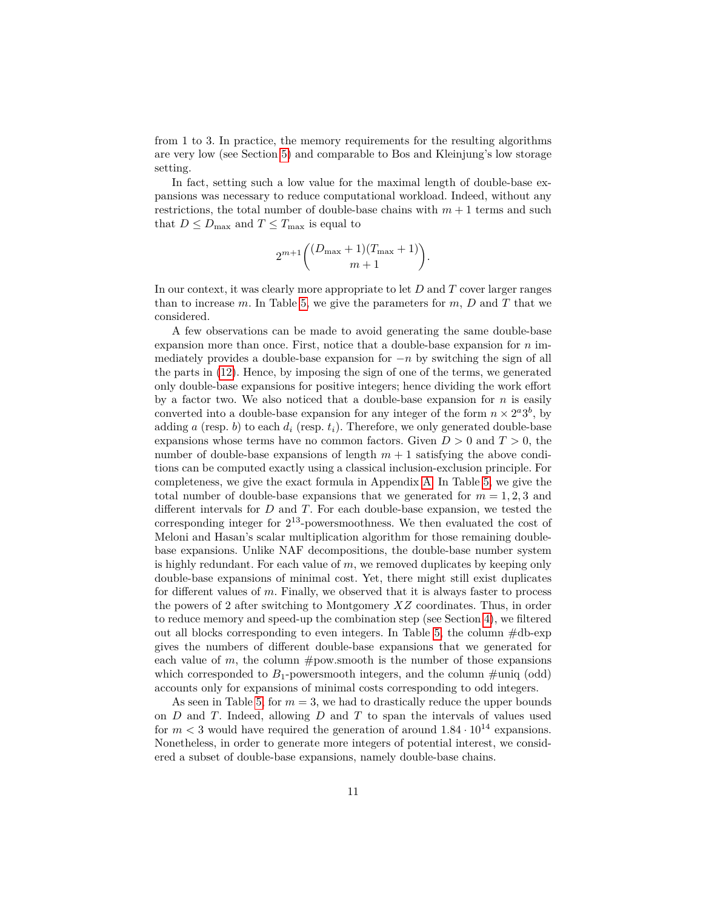from 1 to 3. In practice, the memory requirements for the resulting algorithms are very low (see Section [5\)](#page-15-0) and comparable to Bos and Kleinjung's low storage setting.

In fact, setting such a low value for the maximal length of double-base expansions was necessary to reduce computational workload. Indeed, without any restrictions, the total number of double-base chains with  $m+1$  terms and such that  $D \le D_{\text{max}}$  and  $T \le T_{\text{max}}$  is equal to

$$
2^{m+1}\binom{(D_{\max}+1)(T_{\max}+1)}{m+1}.
$$

In our context, it was clearly more appropriate to let *D* and *T* cover larger ranges than to increase  $m$ . In Table [5,](#page-11-1) we give the parameters for  $m$ ,  $D$  and  $T$  that we considered.

A few observations can be made to avoid generating the same double-base expansion more than once. First, notice that a double-base expansion for *n* immediately provides a double-base expansion for −*n* by switching the sign of all the parts in [\(12\)](#page-9-4). Hence, by imposing the sign of one of the terms, we generated only double-base expansions for positive integers; hence dividing the work effort by a factor two. We also noticed that a double-base expansion for *n* is easily converted into a double-base expansion for any integer of the form  $n \times 2^a 3^b$ , by adding *a* (resp. *b*) to each  $d_i$  (resp.  $t_i$ ). Therefore, we only generated double-base expansions whose terms have no common factors. Given  $D > 0$  and  $T > 0$ , the number of double-base expansions of length  $m + 1$  satisfying the above conditions can be computed exactly using a classical inclusion-exclusion principle. For completeness, we give the exact formula in Appendix [A.](#page-21-11) In Table [5,](#page-11-1) we give the total number of double-base expansions that we generated for  $m = 1, 2, 3$  and different intervals for *D* and *T*. For each double-base expansion, we tested the corresponding integer for 2 <sup>13</sup>-powersmoothness. We then evaluated the cost of Meloni and Hasan's scalar multiplication algorithm for those remaining doublebase expansions. Unlike NAF decompositions, the double-base number system is highly redundant. For each value of *m*, we removed duplicates by keeping only double-base expansions of minimal cost. Yet, there might still exist duplicates for different values of *m*. Finally, we observed that it is always faster to process the powers of 2 after switching to Montgomery *XZ* coordinates. Thus, in order to reduce memory and speed-up the combination step (see Section [4\)](#page-13-0), we filtered out all blocks corresponding to even integers. In Table [5,](#page-11-1) the column  $\#db\text{-exp}$ gives the numbers of different double-base expansions that we generated for each value of  $m$ , the column  $\#powsmooth$  is the number of those expansions which corresponded to  $B_1$ -powersmooth integers, and the column  $\#$ uniq (odd) accounts only for expansions of minimal costs corresponding to odd integers.

As seen in Table [5,](#page-11-1) for  $m = 3$ , we had to drastically reduce the upper bounds on *D* and *T*. Indeed, allowing *D* and *T* to span the intervals of values used for  $m < 3$  would have required the generation of around  $1.84 \cdot 10^{14}$  expansions. Nonetheless, in order to generate more integers of potential interest, we considered a subset of double-base expansions, namely double-base chains.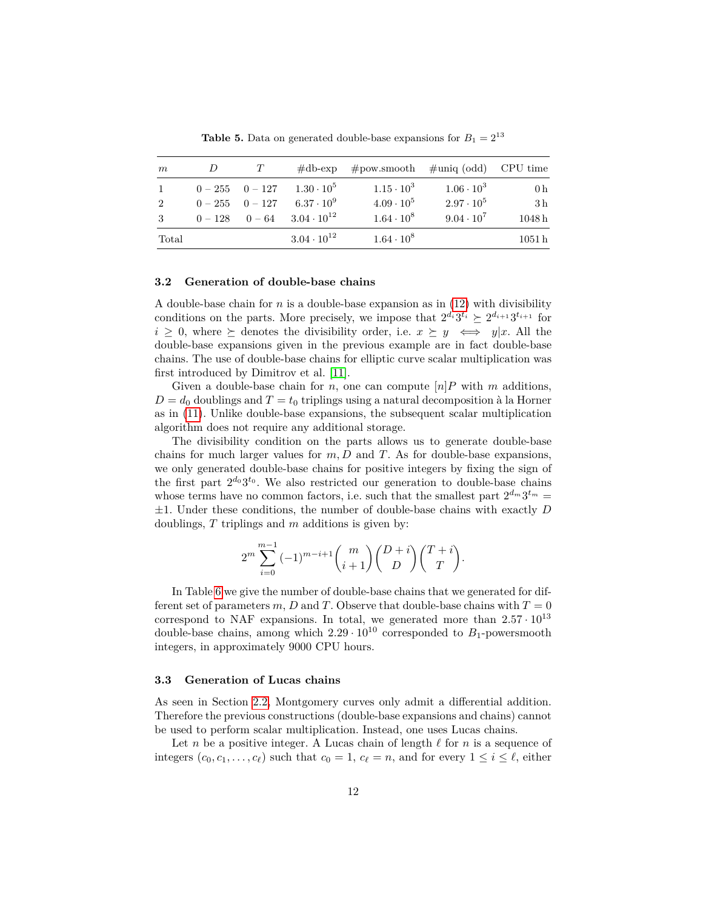<span id="page-11-1"></span>

| m     |                     | $\#\text{db-exp}$    | $\#powsmooth$ $\#$ uniq (odd) CPU time |                     |                   |
|-------|---------------------|----------------------|----------------------------------------|---------------------|-------------------|
|       | $0 - 255$ $0 - 127$ | $1.30 \cdot 10^5$    | $1.15 \cdot 10^3$                      | $1.06 \cdot 10^{3}$ | 0 <sub>h</sub>    |
| 2     | $0 - 255$ $0 - 127$ | $6.37 \cdot 10^{9}$  | $4.09 \cdot 10^5$                      | $2.97 \cdot 10^5$   | 3 <sub>h</sub>    |
| 3     | $0 - 128$ $0 - 64$  | $3.04 \cdot 10^{12}$ | $1.64 \cdot 10^8$                      | $9.04 \cdot 10^7$   | 1048h             |
| Total |                     | $3.04 \cdot 10^{12}$ | $1.64 \cdot 10^8$                      |                     | 1051 <sub>h</sub> |

**Table 5.** Data on generated double-base expansions for  $B_1 = 2^{13}$ 

#### **3.2 Generation of double-base chains**

A double-base chain for *n* is a double-base expansion as in [\(12\)](#page-9-4) with divisibility conditions on the parts. More precisely, we impose that  $2^{d_i}3^{t_i} \succeq 2^{d_{i+1}}3^{t_{i+1}}$  for  $i \geq 0$ , where  $\succeq$  denotes the divisibility order, i.e.  $x \succeq y \iff y|x$ . All the double-base expansions given in the previous example are in fact double-base chains. The use of double-base chains for elliptic curve scalar multiplication was first introduced by Dimitrov et al. [\[11\]](#page-20-13).

Given a double-base chain for *n*, one can compute  $[n]P$  with *m* additions,  $D = d_0$  doublings and  $T = t_0$  triplings using a natural decomposition à la Horner as in [\(11\)](#page-9-5). Unlike double-base expansions, the subsequent scalar multiplication algorithm does not require any additional storage.

The divisibility condition on the parts allows us to generate double-base chains for much larger values for *m, D* and *T*. As for double-base expansions, we only generated double-base chains for positive integers by fixing the sign of the first part  $2^{d_0}3^{t_0}$ . We also restricted our generation to double-base chains whose terms have no common factors, i.e. such that the smallest part  $2^{d_m} 3^{t_m} =$ ±1. Under these conditions, the number of double-base chains with exactly *D* doublings, *T* triplings and *m* additions is given by:

$$
2^m\sum_{i=0}^{m-1}{(-1)^{m-i+1}\binom{m}{i+1}\binom{D+i}{D}\binom{T+i}{T}}.
$$

In Table [6](#page-12-0) we give the number of double-base chains that we generated for different set of parameters  $m, D$  and  $T$ . Observe that double-base chains with  $T = 0$ correspond to NAF expansions. In total, we generated more than  $2.57 \cdot 10^{13}$ double-base chains, among which  $2.29 \cdot 10^{10}$  corresponded to  $B_1$ -powersmooth integers, in approximately 9000 CPU hours.

## <span id="page-11-0"></span>**3.3 Generation of Lucas chains**

As seen in Section [2.2,](#page-2-0) Montgomery curves only admit a differential addition. Therefore the previous constructions (double-base expansions and chains) cannot be used to perform scalar multiplication. Instead, one uses Lucas chains.

Let *n* be a positive integer. A Lucas chain of length  $\ell$  for *n* is a sequence of integers  $(c_0, c_1, \ldots, c_\ell)$  such that  $c_0 = 1$ ,  $c_\ell = n$ , and for every  $1 \leq i \leq \ell$ , either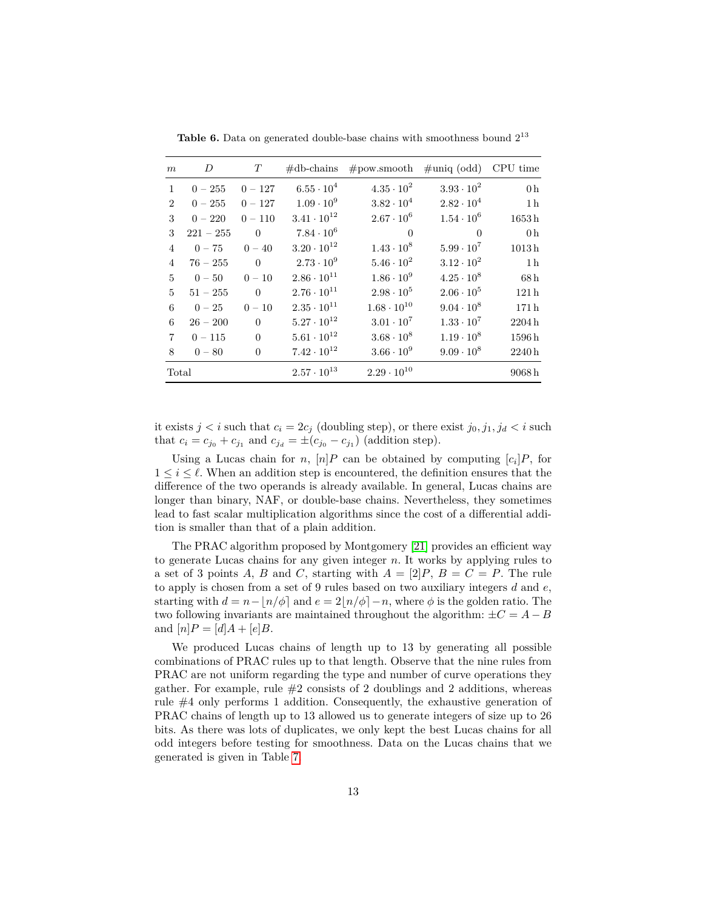| m              | D           | T         | $\#$ db-chains       | $\#$ pow.smooth      | $\#$ uniq (odd)     | CPU time         |
|----------------|-------------|-----------|----------------------|----------------------|---------------------|------------------|
| $\mathbf{1}$   | $0 - 255$   | $0 - 127$ | $6.55 \cdot 10^{4}$  | $4.35 \cdot 10^{2}$  | $3.93 \cdot 10^{2}$ | 0 <sub>h</sub>   |
| $\overline{2}$ | $0 - 255$   | $0 - 127$ | $1.09 \cdot 10^{9}$  | $3.82 \cdot 10^{4}$  | $2.82 \cdot 10^4$   | 1 <sub>h</sub>   |
| 3              | $0 - 220$   | $0 - 110$ | $3.41 \cdot 10^{12}$ | $2.67 \cdot 10^6$    | $1.54 \cdot 10^6$   | 1653h            |
| 3              | $221 - 255$ | $\Omega$  | $7.84 \cdot 10^6$    | $\Omega$             | $\Omega$            | 0 <sub>h</sub>   |
| $\overline{4}$ | $0 - 75$    | $0 - 40$  | $3.20 \cdot 10^{12}$ | $1.43 \cdot 10^{8}$  | $5.99 \cdot 10^{7}$ | 1013h            |
| $\overline{4}$ | $76 - 255$  | $\Omega$  | $2.73 \cdot 10^{9}$  | $5.46 \cdot 10^{2}$  | $3.12 \cdot 10^{2}$ | 1 <sub>h</sub>   |
| $\mathbf{5}$   | $0 - 50$    | $0 - 10$  | $2.86 \cdot 10^{11}$ | $1.86 \cdot 10^{9}$  | $4.25 \cdot 10^8$   | 68h              |
| $\mathbf{5}$   | $51 - 255$  | $\Omega$  | $2.76 \cdot 10^{11}$ | $2.98 \cdot 10^5$    | $2.06 \cdot 10^5$   | 121 <sub>h</sub> |
| 6              | $0 - 25$    | $0 - 10$  | $2.35 \cdot 10^{11}$ | $1.68 \cdot 10^{10}$ | $9.04 \cdot 10^8$   | 171h             |
| 6              | $26 - 200$  | $\Omega$  | $5.27 \cdot 10^{12}$ | $3.01 \cdot 10^{7}$  | $1.33 \cdot 10^7$   | 2204h            |
| $\overline{7}$ | $0 - 115$   | $\Omega$  | $5.61 \cdot 10^{12}$ | $3.68 \cdot 10^8$    | $1.19 \cdot 10^8$   | 1596h            |
| 8              | $0 - 80$    | $\theta$  | $7.42 \cdot 10^{12}$ | $3.66 \cdot 10^{9}$  | $9.09 \cdot 10^8$   | 2240h            |
| Total          |             |           | $2.57 \cdot 10^{13}$ | $2.29 \cdot 10^{10}$ |                     | 9068h            |

<span id="page-12-0"></span>Table 6. Data on generated double-base chains with smoothness bound  $2^{13}$ 

it exists  $j < i$  such that  $c_i = 2c_j$  (doubling step), or there exist  $j_0, j_1, j_d < i$  such that  $c_i = c_{j_0} + c_{j_1}$  and  $c_{j_d} = \pm (c_{j_0} - c_{j_1})$  (addition step).

Using a Lucas chain for *n*,  $[n]P$  can be obtained by computing  $[c_i]P$ , for  $1 \leq i \leq \ell$ . When an addition step is encountered, the definition ensures that the difference of the two operands is already available. In general, Lucas chains are longer than binary, NAF, or double-base chains. Nevertheless, they sometimes lead to fast scalar multiplication algorithms since the cost of a differential addition is smaller than that of a plain addition.

The PRAC algorithm proposed by Montgomery [\[21\]](#page-21-12) provides an efficient way to generate Lucas chains for any given integer *n*. It works by applying rules to a set of 3 points *A*, *B* and *C*, starting with  $A = [2]P$ ,  $B = C = P$ . The rule to apply is chosen from a set of 9 rules based on two auxiliary integers *d* and *e*, starting with  $d = n - \frac{n}{\phi}$  and  $e = 2\frac{n}{\phi} - n$ , where  $\phi$  is the golden ratio. The two following invariants are maintained throughout the algorithm:  $\pm C = A - B$ and  $[n]P = [d]A + [e]B$ .

We produced Lucas chains of length up to 13 by generating all possible combinations of PRAC rules up to that length. Observe that the nine rules from PRAC are not uniform regarding the type and number of curve operations they gather. For example, rule  $#2$  consists of 2 doublings and 2 additions, whereas rule #4 only performs 1 addition. Consequently, the exhaustive generation of PRAC chains of length up to 13 allowed us to generate integers of size up to 26 bits. As there was lots of duplicates, we only kept the best Lucas chains for all odd integers before testing for smoothness. Data on the Lucas chains that we generated is given in Table [7.](#page-13-1)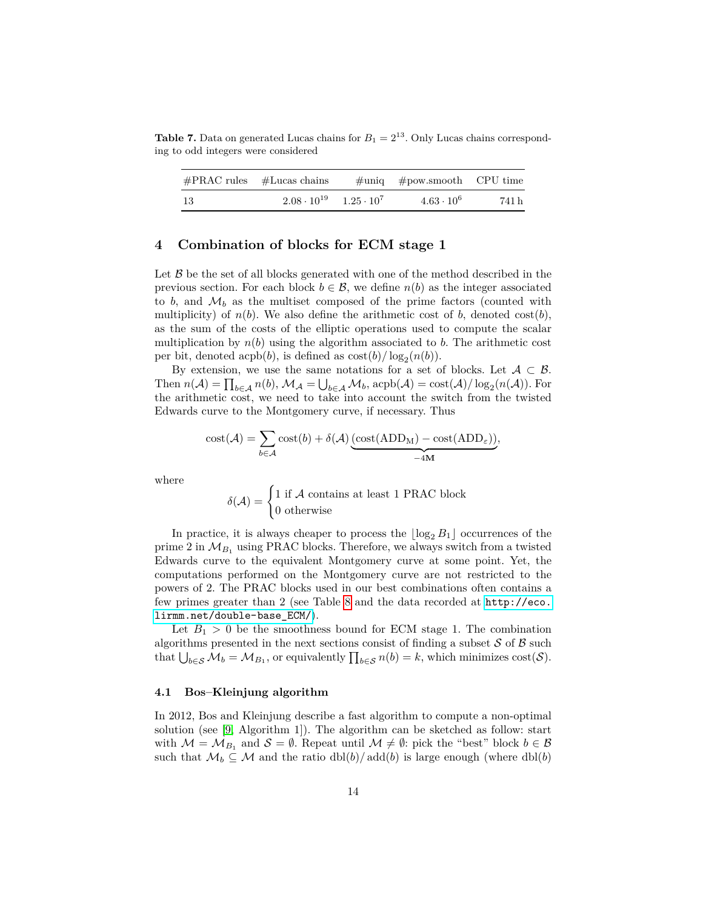<span id="page-13-1"></span>**Table 7.** Data on generated Lucas chains for  $B_1 = 2^{13}$ . Only Lucas chains corresponding to odd integers were considered

|      | $\#PRAC$ rules $\#Lucas$ chains          | $\#$ uniq $\#$ pow.smooth CPU time |       |
|------|------------------------------------------|------------------------------------|-------|
| - 13 | $2.08 \cdot 10^{19}$ $1.25 \cdot 10^{7}$ | $4.63 \cdot 10^{6}$                | 741 h |

## <span id="page-13-0"></span>**4 Combination of blocks for ECM stage 1**

Let  $\beta$  be the set of all blocks generated with one of the method described in the previous section. For each block  $b \in \mathcal{B}$ , we define  $n(b)$  as the integer associated to  $b$ , and  $\mathcal{M}_b$  as the multiset composed of the prime factors (counted with multiplicity) of  $n(b)$ . We also define the arithmetic cost of *b*, denoted cost(*b*), as the sum of the costs of the elliptic operations used to compute the scalar multiplication by  $n(b)$  using the algorithm associated to *b*. The arithmetic cost per bit, denoted acpb(*b*), is defined as  $\cos(t)/\log_2(n(b))$ .

By extension, we use the same notations for a set of blocks. Let  $A \subset \mathcal{B}$ . Then  $n(A) = \prod_{b \in A} n(b)$ ,  $M_A = \bigcup_{b \in A} M_b$ ,  $\operatorname{acpb}(A) = \operatorname{cost}(A)/\log_2(n(A))$ . For the arithmetic cost, we need to take into account the switch from the twisted Edwards curve to the Montgomery curve, if necessary. Thus

$$
cost(\mathcal{A}) = \sum_{b \in \mathcal{A}} cost(b) + \delta(\mathcal{A}) \underbrace{(cost(ADD_M) - cost(ADD_{\varepsilon}))}_{-4M},
$$

where

$$
\delta(\mathcal{A}) = \begin{cases} 1 \text{ if } \mathcal{A} \text{ contains at least 1 PRAC block} \\ 0 \text{ otherwise} \end{cases}
$$

In practice, it is always cheaper to process the  $\lfloor \log_2 B_1 \rfloor$  occurrences of the prime 2 in  $\mathcal{M}_{B_1}$  using PRAC blocks. Therefore, we always switch from a twisted Edwards curve to the equivalent Montgomery curve at some point. Yet, the computations performed on the Montgomery curve are not restricted to the powers of 2. The PRAC blocks used in our best combinations often contains a few primes greater than 2 (see Table [8](#page-17-0) and the data recorded at [http://eco.](http://eco.lirmm.net/double-base_ECM/) [lirmm.net/double-base\\_ECM/](http://eco.lirmm.net/double-base_ECM/)).

Let  $B_1 > 0$  be the smoothness bound for ECM stage 1. The combination algorithms presented in the next sections consist of finding a subset  $S$  of  $B$  such that  $\bigcup_{b \in \mathcal{S}} \mathcal{M}_b = \mathcal{M}_{B_1}$ , or equivalently  $\prod_{b \in \mathcal{S}} n(b) = k$ , which minimizes cost( $\mathcal{S}$ ).

#### **4.1 Bos–Kleinjung algorithm**

In 2012, Bos and Kleinjung describe a fast algorithm to compute a non-optimal solution (see [\[9,](#page-20-0) Algorithm 1]). The algorithm can be sketched as follow: start with  $\mathcal{M} = \mathcal{M}_{B_1}$  and  $\mathcal{S} = \emptyset$ . Repeat until  $\mathcal{M} \neq \emptyset$ : pick the "best" block  $b \in \mathcal{B}$ such that  $\mathcal{M}_b \subseteq \mathcal{M}$  and the ratio dbl(*b*)/add(*b*) is large enough (where dbl(*b*)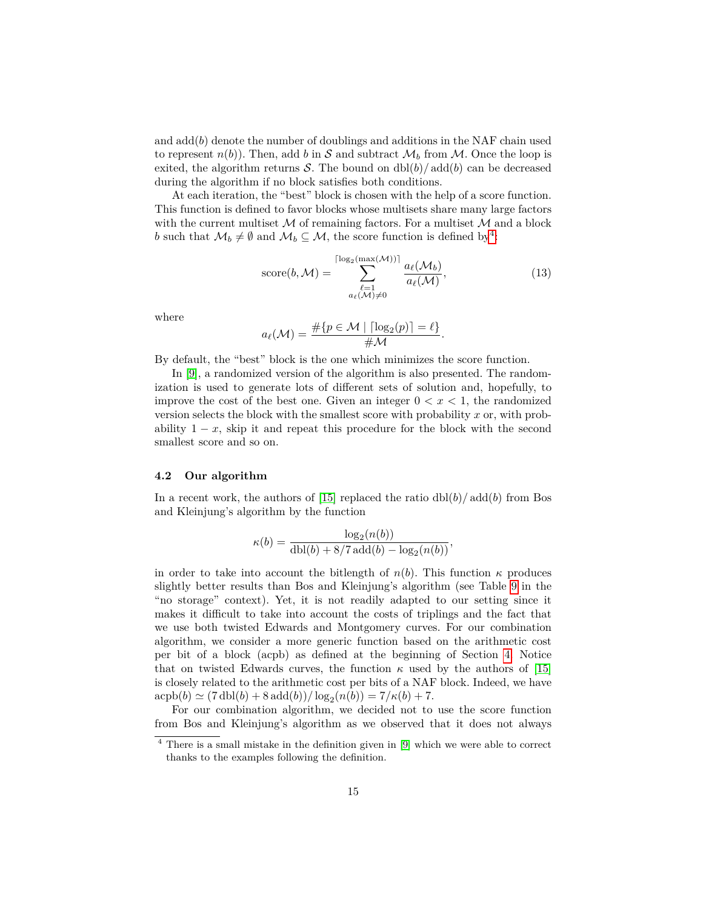and  $\text{add}(b)$  denote the number of doublings and additions in the NAF chain used to represent  $n(b)$ ). Then, add *b* in S and subtract  $\mathcal{M}_b$  from  $\mathcal{M}$ . Once the loop is exited, the algorithm returns S. The bound on  $dbl(b)/add(b)$  can be decreased during the algorithm if no block satisfies both conditions.

At each iteration, the "best" block is chosen with the help of a score function. This function is defined to favor blocks whose multisets share many large factors with the current multiset  $M$  of remaining factors. For a multiset  $M$  and a block *b* such that  $\mathcal{M}_b \neq \emptyset$  and  $\mathcal{M}_b \subseteq \mathcal{M}$ , the score function is defined by<sup>[4](#page-14-0)</sup>:

<span id="page-14-1"></span>score(b, M) = 
$$
\sum_{\substack{\ell=1 \ a_{\ell}(\mathcal{M}) \neq 0}}^{\lceil \log_2(\max(\mathcal{M})) \rceil} \frac{a_{\ell}(\mathcal{M}_b)}{a_{\ell}(\mathcal{M})},
$$
(13)

where

$$
a_{\ell}(\mathcal{M}) = \frac{\#\{p \in \mathcal{M} \mid \lceil \log_2(p) \rceil = \ell\}}{\#\mathcal{M}}.
$$

By default, the "best" block is the one which minimizes the score function.

In [\[9\]](#page-20-0), a randomized version of the algorithm is also presented. The randomization is used to generate lots of different sets of solution and, hopefully, to improve the cost of the best one. Given an integer  $0 < x < 1$ , the randomized version selects the block with the smallest score with probability *x* or, with probability  $1 - x$ , skip it and repeat this procedure for the block with the second smallest score and so on.

#### **4.2 Our algorithm**

In a recent work, the authors of [\[15\]](#page-20-4) replaced the ratio  $\frac{dbl(b)}{add(b)}$  from Bos and Kleinjung's algorithm by the function

$$
\kappa(b) = \frac{\log_2(n(b))}{\text{dbl}(b) + 8/7 \,\text{add}(b) - \log_2(n(b))},
$$

in order to take into account the bitlength of  $n(b)$ . This function  $\kappa$  produces slightly better results than Bos and Kleinjung's algorithm (see Table [9](#page-18-0) in the "no storage" context). Yet, it is not readily adapted to our setting since it makes it difficult to take into account the costs of triplings and the fact that we use both twisted Edwards and Montgomery curves. For our combination algorithm, we consider a more generic function based on the arithmetic cost per bit of a block (acpb) as defined at the beginning of Section [4.](#page-13-0) Notice that on twisted Edwards curves, the function  $\kappa$  used by the authors of [\[15\]](#page-20-4) is closely related to the arithmetic cost per bits of a NAF block. Indeed, we have  $\exp(b) \simeq (7 \text{ dbl}(b) + 8 \text{ add}(b)) / \log_2(n(b)) = 7/\kappa(b) + 7.$ 

For our combination algorithm, we decided not to use the score function from Bos and Kleinjung's algorithm as we observed that it does not always

<span id="page-14-0"></span><sup>4</sup> There is a small mistake in the definition given in [\[9\]](#page-20-0) which we were able to correct thanks to the examples following the definition.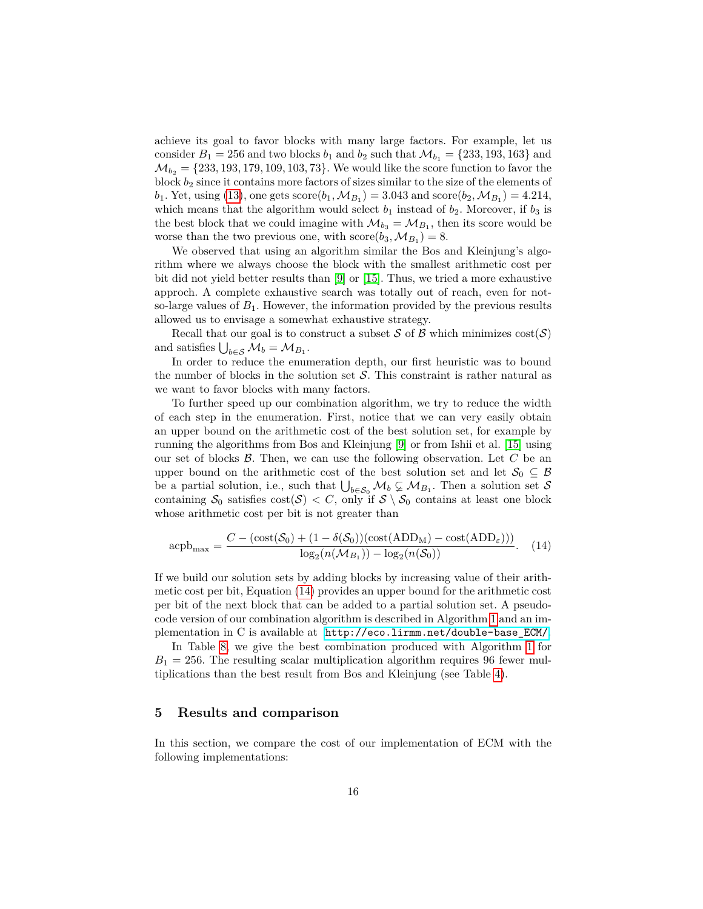achieve its goal to favor blocks with many large factors. For example, let us consider  $B_1 = 256$  and two blocks  $b_1$  and  $b_2$  such that  $\mathcal{M}_{b_1} = \{233, 193, 163\}$  and  $\mathcal{M}_{b_2} = \{233, 193, 179, 109, 103, 73\}$ . We would like the score function to favor the block *b*<sup>2</sup> since it contains more factors of sizes similar to the size of the elements of *b*<sub>1</sub>. Yet, using [\(13\)](#page-14-1), one gets  $score(b_1, M_{B_1}) = 3.043$  and  $score(b_2, M_{B_1}) = 4.214$ , which means that the algorithm would select  $b_1$  instead of  $b_2$ . Moreover, if  $b_3$  is the best block that we could imagine with  $\mathcal{M}_{b_3} = \mathcal{M}_{B_1}$ , then its score would be worse than the two previous one, with  $score(b_3, M_{B_1}) = 8$ .

We observed that using an algorithm similar the Bos and Kleinjung's algorithm where we always choose the block with the smallest arithmetic cost per bit did not yield better results than [\[9\]](#page-20-0) or [\[15\]](#page-20-4). Thus, we tried a more exhaustive approch. A complete exhaustive search was totally out of reach, even for notso-large values of  $B_1$ . However, the information provided by the previous results allowed us to envisage a somewhat exhaustive strategy.

Recall that our goal is to construct a subset S of B which minimizes  $cost(S)$ and satisfies  $\bigcup_{b \in \mathcal{S}} \mathcal{M}_b = \mathcal{M}_{B_1}$ .

In order to reduce the enumeration depth, our first heuristic was to bound the number of blocks in the solution set  $S$ . This constraint is rather natural as we want to favor blocks with many factors.

To further speed up our combination algorithm, we try to reduce the width of each step in the enumeration. First, notice that we can very easily obtain an upper bound on the arithmetic cost of the best solution set, for example by running the algorithms from Bos and Kleinjung [\[9\]](#page-20-0) or from Ishii et al. [\[15\]](#page-20-4) using our set of blocks B. Then, we can use the following observation. Let *C* be an upper bound on the arithmetic cost of the best solution set and let  $\mathcal{S}_0 \subseteq \mathcal{B}$ be a partial solution, i.e., such that  $\bigcup_{b \in S_0} M_b \subsetneq M_{B_1}$ . Then a solution set S containing  $S_0$  satisfies  $\text{cost}(\mathcal{S}) < C$ , only if  $\mathcal{S} \setminus S_0$  contains at least one block whose arithmetic cost per bit is not greater than

<span id="page-15-1"></span>
$$
\text{acpb}_{\text{max}} = \frac{C - (\text{cost}(\mathcal{S}_0) + (1 - \delta(\mathcal{S}_0))(\text{cost}(\text{ADD}_M) - \text{cost}(\text{ADD}_\varepsilon)))}{\log_2(n(\mathcal{M}_{B_1})) - \log_2(n(\mathcal{S}_0))}.
$$
 (14)

If we build our solution sets by adding blocks by increasing value of their arithmetic cost per bit, Equation [\(14\)](#page-15-1) provides an upper bound for the arithmetic cost per bit of the next block that can be added to a partial solution set. A pseudocode version of our combination algorithm is described in Algorithm [1](#page-16-0) and an implementation in C is available at [http://eco.lirmm.net/double-base\\_ECM/](http://eco.lirmm.net/double-base_ECM/).

In Table [8,](#page-17-0) we give the best combination produced with Algorithm [1](#page-16-0) for  $B_1 = 256$ . The resulting scalar multiplication algorithm requires 96 fewer multiplications than the best result from Bos and Kleinjung (see Table [4\)](#page-8-1).

# <span id="page-15-0"></span>**5 Results and comparison**

In this section, we compare the cost of our implementation of ECM with the following implementations: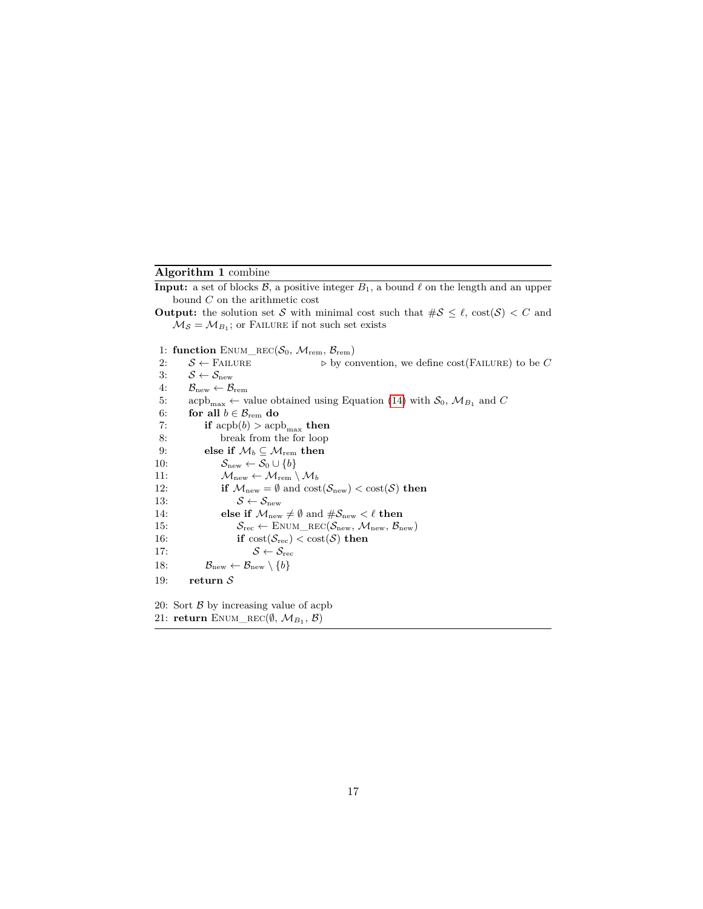# **Algorithm 1** combine

<span id="page-16-0"></span>**Input:** a set of blocks  $\mathcal{B}$ , a positive integer  $B_1$ , a bound  $\ell$  on the length and an upper bound *C* on the arithmetic cost

- **Output:** the solution set S with minimal cost such that  $\#\mathcal{S} \leq \ell$ ,  $\text{cost}(\mathcal{S}) < C$  and  $\mathcal{M}_{\mathcal{S}} = \mathcal{M}_{B_1}$ ; or FAILURE if not such set exists
- 1: **function** ENUM\_REC( $S_0$ ,  $M_{\text{rem}}$ ,  $B_{\text{rem}}$ )

2:  $S \leftarrow$  FAILURE  $\triangleright$  by convention, we define cost(FAILURE) to be *C* 3:  $S \leftarrow S_{\text{new}}$  $\label{eq:4} 4\text{:}\qquad \mathcal{B}_{\text{new}} \leftarrow \mathcal{B}_{\text{rem}}$ 5: acpb<sub>max</sub>  $\leftarrow$  value obtained using Equation [\(14\)](#page-15-1) with  $S_0$ ,  $\mathcal{M}_{B_1}$  and *C* 6: **for all**  $b \in \mathcal{B}_{\text{rem}}$  **do** 7: **if**  $\text{acpb}(b) > \text{acpb}_{\text{max}}$  **then**<br>8: **break** from the for loop break from the for loop 9: **else if**  $\mathcal{M}_b \subseteq \mathcal{M}_{\text{rem}}$  **then** 10:  $S_{\text{new}} \leftarrow S_0 \cup \{b\}$ 11:  $M_{\text{new}} \leftarrow M_{\text{rem}} \setminus M_b$ 12: **if**  $M_{\text{new}} = \emptyset$  and  $\text{cost}(\mathcal{S}_{\text{new}}) < \text{cost}(\mathcal{S})$  **then** 13:  $S \leftarrow S_{\text{new}}$ 14: **else if**  $\mathcal{M}_{\text{new}} \neq \emptyset$  and  $\#\mathcal{S}_{\text{new}} < \ell$  then 15:  $S_{\text{rec}} \leftarrow \text{ENUM\_REC}(\mathcal{S}_{\text{new}}, \mathcal{M}_{\text{new}}, \mathcal{B}_{\text{new}})$ 16: **if**  $\text{cost}(\mathcal{S}_{\text{rec}}) < \text{cost}(\mathcal{S})$  **then** 17:  $S \leftarrow S_{\text{rec}}$ 18:  $\mathcal{B}_{\text{new}} \leftarrow \mathcal{B}_{\text{new}} \setminus \{b\}$ 19: **return** S 20: Sort  $\beta$  by increasing value of acpb

21: **return** ENUM\_REC( $(\emptyset, \mathcal{M}_{B_1}, \mathcal{B})$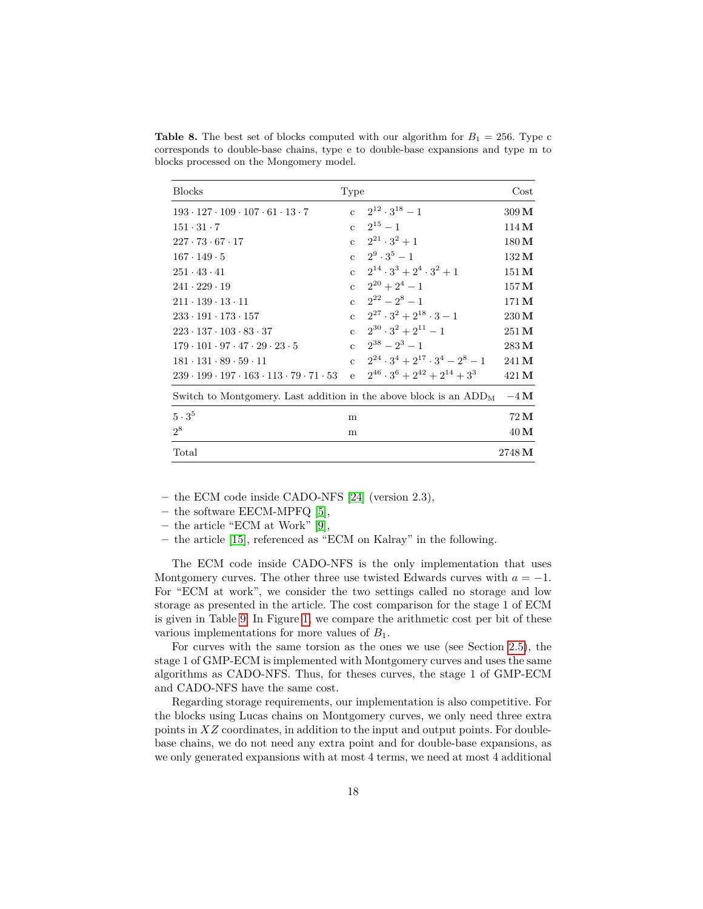| <b>Blocks</b>                                                            | Type |                                                   | $\cos t$          |
|--------------------------------------------------------------------------|------|---------------------------------------------------|-------------------|
| $193 \cdot 127 \cdot 109 \cdot 107 \cdot 61 \cdot 13 \cdot 7$            |      | c $2^{12} \cdot 3^{18} - 1$                       | $309\,\mathrm{M}$ |
| $151 \cdot 31 \cdot 7$                                                   |      | $c = 2^{15} - 1$                                  | 114M              |
| $227 \cdot 73 \cdot 67 \cdot 17$                                         |      | c $2^{21} \cdot 3^2 + 1$                          | $180\,\mathrm{M}$ |
| $167 \cdot 149 \cdot 5$                                                  |      | c $2^9 \cdot 3^5 - 1$                             | $132\,\mathrm{M}$ |
| $251 \cdot 43 \cdot 41$                                                  |      | c $2^{14} \cdot 3^3 + 2^4 \cdot 3^2 + 1$          | $151\,\mathrm{M}$ |
| $241 \cdot 229 \cdot 19$                                                 |      | c $2^{20} + 2^4 - 1$                              | $157\,\mathrm{M}$ |
| $211 \cdot 139 \cdot 13 \cdot 11$                                        |      | c $2^{22} - 2^8 - 1$                              | 171 M             |
| $233 \cdot 191 \cdot 173 \cdot 157$                                      |      | c $2^{27} \cdot 3^2 + 2^{18} \cdot 3 - 1$         | $230\,\mathrm{M}$ |
| $223 \cdot 137 \cdot 103 \cdot 83 \cdot 37$                              |      | c $2^{30} \cdot 3^2 + 2^{11} - 1$                 | $251\,\mathrm{M}$ |
| $179 \cdot 101 \cdot 97 \cdot 47 \cdot 29 \cdot 23 \cdot 5$              |      | $c = 2^{38} - 2^3 - 1$                            | $283\,\mathrm{M}$ |
| $181 \cdot 131 \cdot 89 \cdot 59 \cdot 11$                               |      | c $2^{24} \cdot 3^4 + 2^{17} \cdot 3^4 - 2^8 - 1$ | 241 M             |
| $239 \cdot 199 \cdot 197 \cdot 163 \cdot 113 \cdot 79 \cdot 71 \cdot 53$ |      | e $2^{46} \cdot 3^6 + 2^{42} + 2^{14} + 3^3$      | 421 M             |
| Switch to Montgomery. Last addition in the above block is an $ADDM$      |      |                                                   | $-4\,\mathrm{M}$  |
| $5 \cdot 3^5$                                                            | m    |                                                   | $72\,\mathrm{M}$  |
| $2^8$                                                                    | m    |                                                   | $40\,\mathrm{M}$  |
| Total                                                                    |      |                                                   | 2748 M            |

<span id="page-17-0"></span>**Table 8.** The best set of blocks computed with our algorithm for  $B_1 = 256$ . Type c corresponds to double-base chains, type e to double-base expansions and type m to blocks processed on the Mongomery model.

**–** the ECM code inside CADO-NFS [\[24\]](#page-21-3) (version 2.3),

- **–** the software EECM-MPFQ [\[5\]](#page-20-14),
- **–** the article "ECM at Work" [\[9\]](#page-20-0),
- **–** the article [\[15\]](#page-20-4), referenced as "ECM on Kalray" in the following.

The ECM code inside CADO-NFS is the only implementation that uses Montgomery curves. The other three use twisted Edwards curves with  $a = -1$ . For "ECM at work", we consider the two settings called no storage and low storage as presented in the article. The cost comparison for the stage 1 of ECM is given in Table [9.](#page-18-0) In Figure [1,](#page-19-0) we compare the arithmetic cost per bit of these various implementations for more values of *B*1.

For curves with the same torsion as the ones we use (see Section [2.5\)](#page-6-0), the stage 1 of GMP-ECM is implemented with Montgomery curves and uses the same algorithms as CADO-NFS. Thus, for theses curves, the stage 1 of GMP-ECM and CADO-NFS have the same cost.

Regarding storage requirements, our implementation is also competitive. For the blocks using Lucas chains on Montgomery curves, we only need three extra points in *XZ* coordinates, in addition to the input and output points. For doublebase chains, we do not need any extra point and for double-base expansions, as we only generated expansions with at most 4 terms, we need at most 4 additional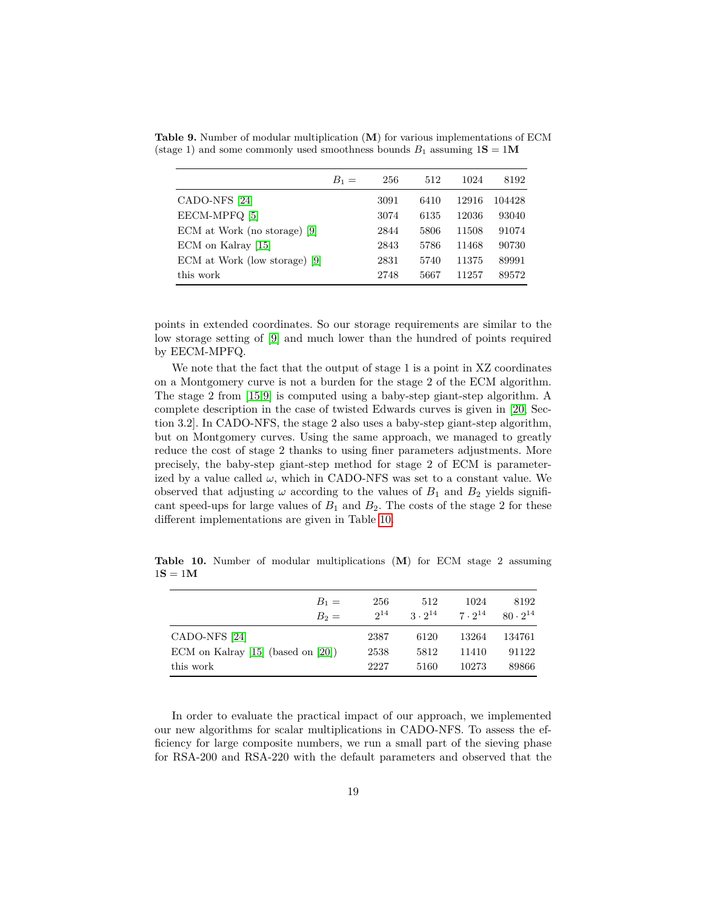|                               | $B_1 =$ | 256  | 512  | 1024  | 8192   |
|-------------------------------|---------|------|------|-------|--------|
| CADO-NFS [24]                 |         | 3091 | 6410 | 12916 | 104428 |
| EECM-MPFQ [5]                 |         | 3074 | 6135 | 12036 | 93040  |
| ECM at Work (no storage) [9]  |         | 2844 | 5806 | 11508 | 91074  |
| ECM on Kalray [15]            |         | 2843 | 5786 | 11468 | 90730  |
| ECM at Work (low storage) [9] |         | 2831 | 5740 | 11375 | 89991  |
| this work                     |         | 2748 | 5667 | 11257 | 89572  |

<span id="page-18-0"></span>**Table 9.** Number of modular multiplication (**M**) for various implementations of ECM (stage 1) and some commonly used smoothness bounds  $B_1$  assuming  $1S = 1M$ 

points in extended coordinates. So our storage requirements are similar to the low storage setting of [\[9\]](#page-20-0) and much lower than the hundred of points required by EECM-MPFQ.

We note that the fact that the output of stage 1 is a point in XZ coordinates on a Montgomery curve is not a burden for the stage 2 of the ECM algorithm. The stage 2 from [\[15,](#page-20-4)[9\]](#page-20-0) is computed using a baby-step giant-step algorithm. A complete description in the case of twisted Edwards curves is given in [\[20,](#page-21-13) Section 3.2]. In CADO-NFS, the stage 2 also uses a baby-step giant-step algorithm, but on Montgomery curves. Using the same approach, we managed to greatly reduce the cost of stage 2 thanks to using finer parameters adjustments. More precisely, the baby-step giant-step method for stage 2 of ECM is parameterized by a value called  $\omega$ , which in CADO-NFS was set to a constant value. We observed that adjusting  $\omega$  according to the values of  $B_1$  and  $B_2$  yields significant speed-ups for large values of  $B_1$  and  $B_2$ . The costs of the stage 2 for these different implementations are given in Table [10.](#page-18-1)

<span id="page-18-1"></span>**Table 10.** Number of modular multiplications (**M**) for ECM stage 2 assuming  $1S = 1M$ 

| $B_1 =$<br>$B_2 =$                      | 256<br>$2^{14}$ | 512<br>$3 \cdot 2^{14}$ | 1024<br>$7 \cdot 2^{14}$ | 8192<br>$80 \cdot 2^{14}$ |
|-----------------------------------------|-----------------|-------------------------|--------------------------|---------------------------|
| CADO-NFS <sup>[24]</sup>                | 2387            | 6120                    | 13264                    | 134761                    |
| ECM on Kalray $[15]$ (based on $[20]$ ) | 2538            | 5812                    | 11410                    | 91122                     |
| this work                               | 2227            | 5160                    | 10273                    | 89866                     |

In order to evaluate the practical impact of our approach, we implemented our new algorithms for scalar multiplications in CADO-NFS. To assess the efficiency for large composite numbers, we run a small part of the sieving phase for RSA-200 and RSA-220 with the default parameters and observed that the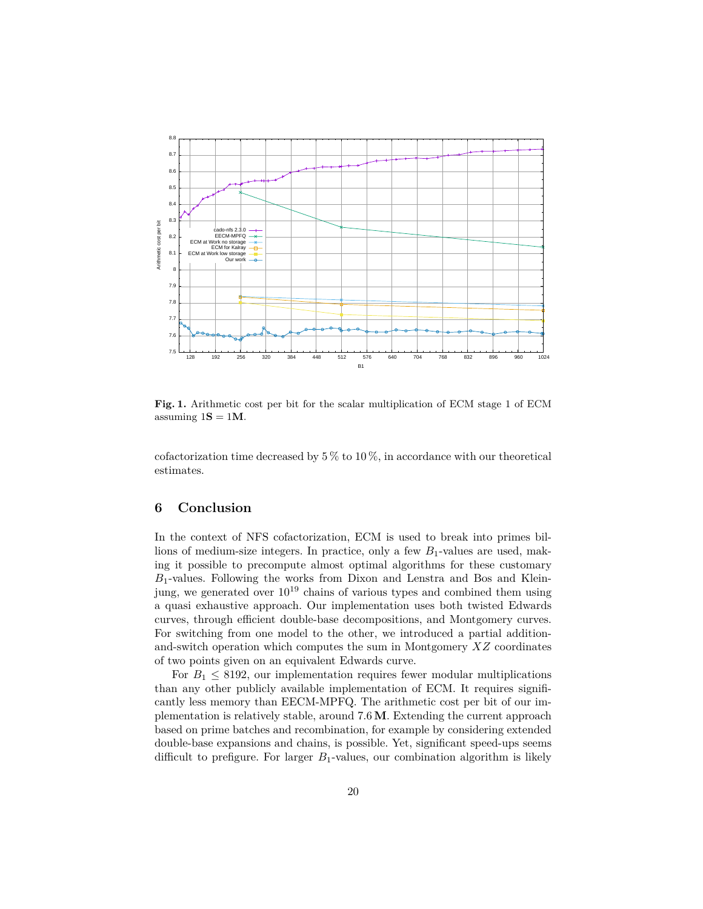

<span id="page-19-0"></span>**Fig. 1.** Arithmetic cost per bit for the scalar multiplication of ECM stage 1 of ECM assuming  $1S = 1M$ .

cofactorization time decreased by  $5\%$  to  $10\%$ , in accordance with our theoretical estimates.

# **6 Conclusion**

In the context of NFS cofactorization, ECM is used to break into primes billions of medium-size integers. In practice, only a few  $B_1$ -values are used, making it possible to precompute almost optimal algorithms for these customary *B*1-values. Following the works from Dixon and Lenstra and Bos and Kleinjung, we generated over  $10^{19}$  chains of various types and combined them using a quasi exhaustive approach. Our implementation uses both twisted Edwards curves, through efficient double-base decompositions, and Montgomery curves. For switching from one model to the other, we introduced a partial additionand-switch operation which computes the sum in Montgomery *XZ* coordinates of two points given on an equivalent Edwards curve.

For  $B_1 \leq 8192$ , our implementation requires fewer modular multiplications than any other publicly available implementation of ECM. It requires significantly less memory than EECM-MPFQ. The arithmetic cost per bit of our implementation is relatively stable, around 7*.*6**M**. Extending the current approach based on prime batches and recombination, for example by considering extended double-base expansions and chains, is possible. Yet, significant speed-ups seems difficult to prefigure. For larger  $B_1$ -values, our combination algorithm is likely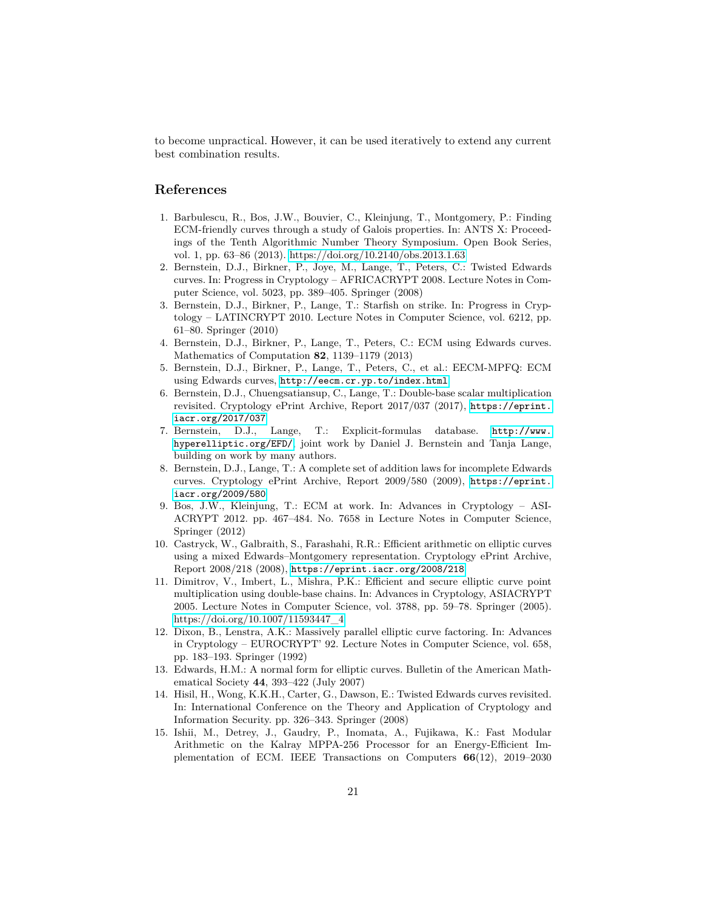to become unpractical. However, it can be used iteratively to extend any current best combination results.

# **References**

- <span id="page-20-9"></span>1. Barbulescu, R., Bos, J.W., Bouvier, C., Kleinjung, T., Montgomery, P.: Finding ECM-friendly curves through a study of Galois properties. In: ANTS X: Proceedings of the Tenth Algorithmic Number Theory Symposium. Open Book Series, vol. 1, pp. 63–86 (2013).<https://doi.org/10.2140/obs.2013.1.63>
- <span id="page-20-6"></span>2. Bernstein, D.J., Birkner, P., Joye, M., Lange, T., Peters, C.: Twisted Edwards curves. In: Progress in Cryptology – AFRICACRYPT 2008. Lecture Notes in Computer Science, vol. 5023, pp. 389–405. Springer (2008)
- <span id="page-20-8"></span>3. Bernstein, D.J., Birkner, P., Lange, T.: Starfish on strike. In: Progress in Cryptology – LATINCRYPT 2010. Lecture Notes in Computer Science, vol. 6212, pp. 61–80. Springer (2010)
- <span id="page-20-2"></span>4. Bernstein, D.J., Birkner, P., Lange, T., Peters, C.: ECM using Edwards curves. Mathematics of Computation **82**, 1139–1179 (2013)
- <span id="page-20-14"></span>5. Bernstein, D.J., Birkner, P., Lange, T., Peters, C., et al.: EECM-MPFQ: ECM using Edwards curves, <http://eecm.cr.yp.to/index.html>
- <span id="page-20-5"></span>6. Bernstein, D.J., Chuengsatiansup, C., Lange, T.: Double-base scalar multiplication revisited. Cryptology ePrint Archive, Report 2017/037 (2017), [https://eprint.](https://eprint.iacr.org/2017/037) [iacr.org/2017/037](https://eprint.iacr.org/2017/037)
- <span id="page-20-12"></span>7. Bernstein, D.J., Lange, T.: Explicit-formulas database. [http://www.](http://www.hyperelliptic.org/EFD/) [hyperelliptic.org/EFD/](http://www.hyperelliptic.org/EFD/), joint work by Daniel J. Bernstein and Tanja Lange, building on work by many authors.
- <span id="page-20-11"></span>8. Bernstein, D.J., Lange, T.: A complete set of addition laws for incomplete Edwards curves. Cryptology ePrint Archive, Report 2009/580 (2009), [https://eprint.](https://eprint.iacr.org/2009/580) [iacr.org/2009/580](https://eprint.iacr.org/2009/580)
- <span id="page-20-0"></span>9. Bos, J.W., Kleinjung, T.: ECM at work. In: Advances in Cryptology – ASI-ACRYPT 2012. pp. 467–484. No. 7658 in Lecture Notes in Computer Science, Springer (2012)
- <span id="page-20-10"></span>10. Castryck, W., Galbraith, S., Farashahi, R.R.: Efficient arithmetic on elliptic curves using a mixed Edwards–Montgomery representation. Cryptology ePrint Archive, Report 2008/218 (2008), <https://eprint.iacr.org/2008/218>
- <span id="page-20-13"></span>11. Dimitrov, V., Imbert, L., Mishra, P.K.: Efficient and secure elliptic curve point multiplication using double-base chains. In: Advances in Cryptology, ASIACRYPT 2005. Lecture Notes in Computer Science, vol. 3788, pp. 59–78. Springer (2005). [https://doi.org/10.1007/11593447\\_4](https://doi.org/10.1007/11593447_4)
- <span id="page-20-3"></span>12. Dixon, B., Lenstra, A.K.: Massively parallel elliptic curve factoring. In: Advances in Cryptology – EUROCRYPT' 92. Lecture Notes in Computer Science, vol. 658, pp. 183–193. Springer (1992)
- <span id="page-20-1"></span>13. Edwards, H.M.: A normal form for elliptic curves. Bulletin of the American Mathematical Society **44**, 393–422 (July 2007)
- <span id="page-20-7"></span>14. Hisil, H., Wong, K.K.H., Carter, G., Dawson, E.: Twisted Edwards curves revisited. In: International Conference on the Theory and Application of Cryptology and Information Security. pp. 326–343. Springer (2008)
- <span id="page-20-4"></span>15. Ishii, M., Detrey, J., Gaudry, P., Inomata, A., Fujikawa, K.: Fast Modular Arithmetic on the Kalray MPPA-256 Processor for an Energy-Efficient Implementation of ECM. IEEE Transactions on Computers **66**(12), 2019–2030